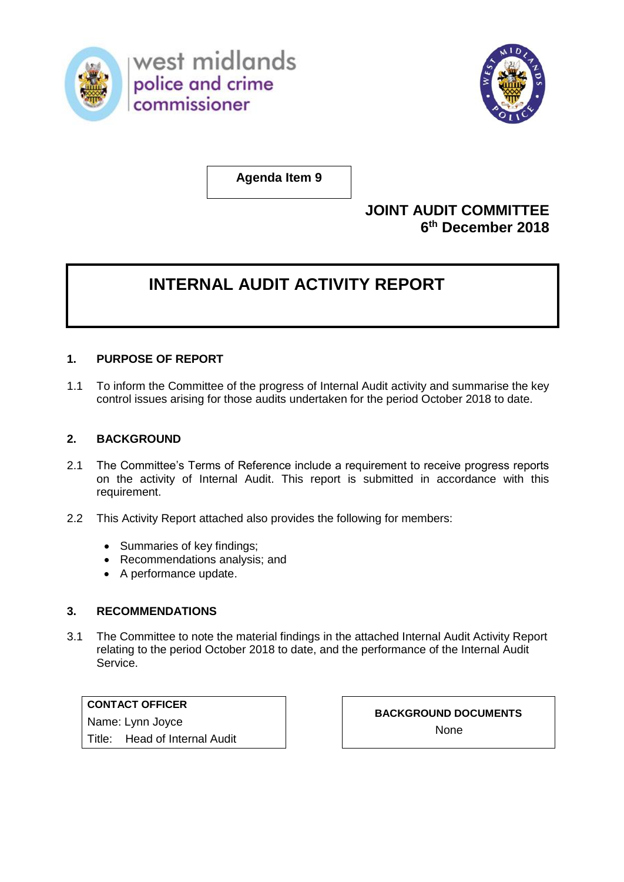



**Agenda Item 9**

## **JOINT AUDIT COMMITTEE 6 th December 2018**

## **INTERNAL AUDIT ACTIVITY REPORT**

## **1. PURPOSE OF REPORT**

1.1 To inform the Committee of the progress of Internal Audit activity and summarise the key control issues arising for those audits undertaken for the period October 2018 to date.

## **2. BACKGROUND**

- 2.1 The Committee's Terms of Reference include a requirement to receive progress reports on the activity of Internal Audit. This report is submitted in accordance with this requirement.
- 2.2 This Activity Report attached also provides the following for members:
	- Summaries of key findings;
	- Recommendations analysis; and
	- A performance update.

## **3. RECOMMENDATIONS**

3.1 The Committee to note the material findings in the attached Internal Audit Activity Report relating to the period October 2018 to date, and the performance of the Internal Audit Service.

**CONTACT OFFICER** Name: Lynn Joyce Title: Head of Internal Audit

**BACKGROUND DOCUMENTS** None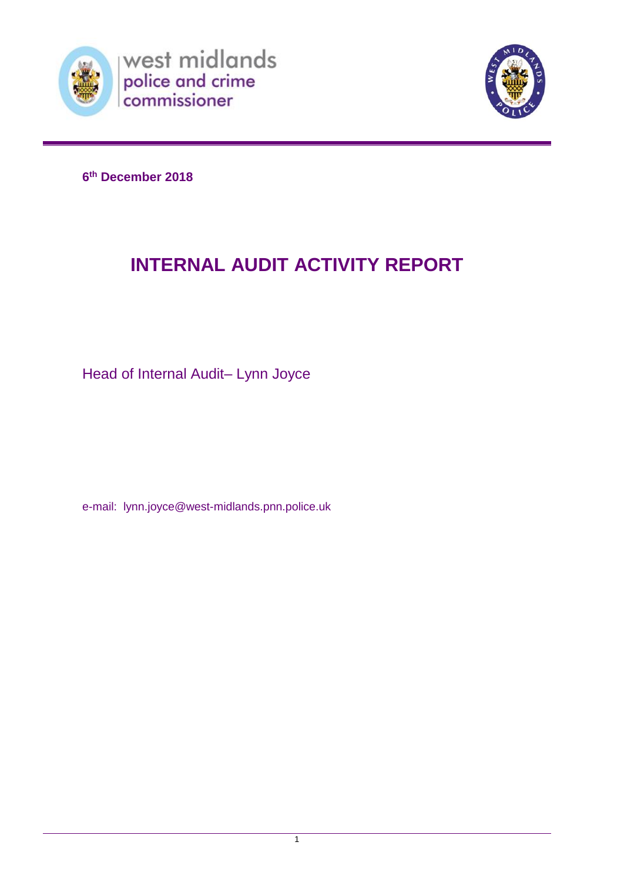



**6 th December 2018**

## **INTERNAL AUDIT ACTIVITY REPORT**

Head of Internal Audit– Lynn Joyce

e-mail: lynn.joyce@west-midlands.pnn.police.uk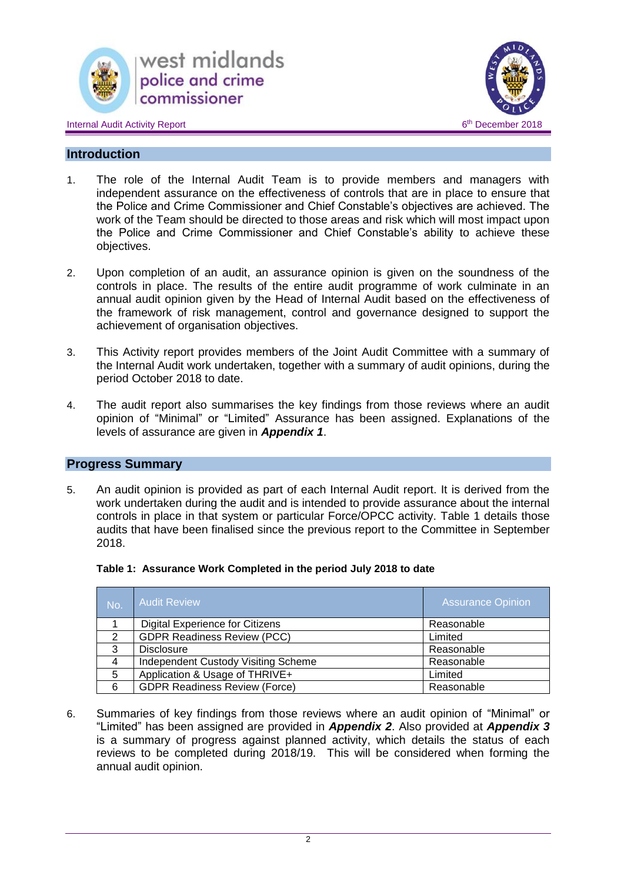





## **Introduction**

- 1. The role of the Internal Audit Team is to provide members and managers with independent assurance on the effectiveness of controls that are in place to ensure that the Police and Crime Commissioner and Chief Constable's objectives are achieved. The work of the Team should be directed to those areas and risk which will most impact upon the Police and Crime Commissioner and Chief Constable's ability to achieve these objectives.
- 2. Upon completion of an audit, an assurance opinion is given on the soundness of the controls in place. The results of the entire audit programme of work culminate in an annual audit opinion given by the Head of Internal Audit based on the effectiveness of the framework of risk management, control and governance designed to support the achievement of organisation objectives.
- 3. This Activity report provides members of the Joint Audit Committee with a summary of the Internal Audit work undertaken, together with a summary of audit opinions, during the period October 2018 to date.
- 4. The audit report also summarises the key findings from those reviews where an audit opinion of "Minimal" or "Limited" Assurance has been assigned. Explanations of the levels of assurance are given in *Appendix 1*.

## **Progress Summary**

5. An audit opinion is provided as part of each Internal Audit report. It is derived from the work undertaken during the audit and is intended to provide assurance about the internal controls in place in that system or particular Force/OPCC activity. Table 1 details those audits that have been finalised since the previous report to the Committee in September 2018.

| <b>No</b> | <b>Audit Review</b>                  | <b>Assurance Opinion</b> |
|-----------|--------------------------------------|--------------------------|
|           | Digital Experience for Citizens      | Reasonable               |
| 2         | <b>GDPR Readiness Review (PCC)</b>   | Limited                  |
| વ         | <b>Disclosure</b>                    | Reasonable               |
| 4         | Independent Custody Visiting Scheme  | Reasonable               |
| 5         | Application & Usage of THRIVE+       | Limited                  |
| 6         | <b>GDPR Readiness Review (Force)</b> | Reasonable               |

6. Summaries of key findings from those reviews where an audit opinion of "Minimal" or "Limited" has been assigned are provided in *Appendix 2*. Also provided at *Appendix 3* is a summary of progress against planned activity, which details the status of each reviews to be completed during 2018/19. This will be considered when forming the annual audit opinion.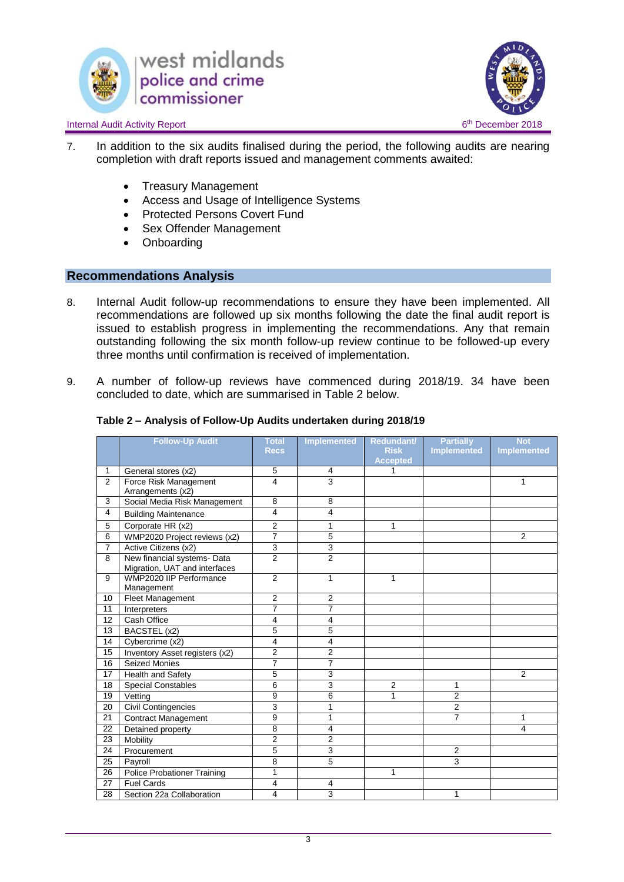



#### Internal Audit Activity Report 6

- 7. In addition to the six audits finalised during the period, the following audits are nearing completion with draft reports issued and management comments awaited:
	- Treasury Management
	- Access and Usage of Intelligence Systems
	- Protected Persons Covert Fund
	- Sex Offender Management
	- Onboarding

### **Recommendations Analysis**

- 8. Internal Audit follow-up recommendations to ensure they have been implemented. All recommendations are followed up six months following the date the final audit report is issued to establish progress in implementing the recommendations. Any that remain outstanding following the six month follow-up review continue to be followed-up every three months until confirmation is received of implementation.
- 9. A number of follow-up reviews have commenced during 2018/19. 34 have been concluded to date, which are summarised in Table 2 below.

|                | <b>Follow-Up Audit</b>                                       | <b>Total</b>   | <b>Implemented</b>      | Redundant/      | <b>Partially</b>   | <b>Not</b>         |
|----------------|--------------------------------------------------------------|----------------|-------------------------|-----------------|--------------------|--------------------|
|                |                                                              | <b>Recs</b>    |                         | <b>Risk</b>     | <b>Implemented</b> | <b>Implemented</b> |
|                |                                                              |                |                         | <b>Accepted</b> |                    |                    |
| 1              | General stores (x2)                                          | 5              | 4                       | 1               |                    |                    |
| $\overline{2}$ | Force Risk Management<br>Arrangements (x2)                   | 4              | $\overline{3}$          |                 |                    | 1                  |
| 3              | Social Media Risk Management                                 | 8              | 8                       |                 |                    |                    |
| $\overline{4}$ | <b>Building Maintenance</b>                                  | 4              | 4                       |                 |                    |                    |
| 5              | Corporate HR (x2)                                            | $\overline{2}$ | 1                       | 1               |                    |                    |
| $\overline{6}$ | WMP2020 Project reviews (x2)                                 | $\overline{7}$ | 5                       |                 |                    | $\overline{2}$     |
| $\overline{7}$ | Active Citizens (x2)                                         | 3              | 3                       |                 |                    |                    |
| 8              | New financial systems- Data<br>Migration, UAT and interfaces | $\overline{2}$ | $\overline{2}$          |                 |                    |                    |
| 9              | WMP2020 IIP Performance                                      | $\overline{2}$ | 1                       | 1               |                    |                    |
|                | Management                                                   |                |                         |                 |                    |                    |
| 10             | Fleet Management                                             | 2              | $\overline{2}$          |                 |                    |                    |
| 11             | Interpreters                                                 | $\overline{7}$ | $\overline{7}$          |                 |                    |                    |
| 12             | Cash Office                                                  | 4              | 4                       |                 |                    |                    |
| 13             | BACSTEL (x2)                                                 | 5              | 5                       |                 |                    |                    |
| 14             | Cybercrime (x2)                                              | 4              | 4                       |                 |                    |                    |
| 15             | Inventory Asset registers (x2)                               | 2              | 2                       |                 |                    |                    |
| 16             | <b>Seized Monies</b>                                         | $\overline{7}$ | $\overline{7}$          |                 |                    |                    |
| 17             | Health and Safety                                            | 5              | 3                       |                 |                    | $\overline{2}$     |
| 18             | <b>Special Constables</b>                                    | 6              | 3                       | $\overline{2}$  | 1                  |                    |
| 19             | Vetting                                                      | 9              | 6                       | 1               | $\overline{2}$     |                    |
| 20             | <b>Civil Contingencies</b>                                   | 3              | 1                       |                 | $\overline{2}$     |                    |
| 21             | <b>Contract Management</b>                                   | 9              | 1                       |                 | $\overline{7}$     | 1                  |
| 22             | Detained property                                            | 8              | 4                       |                 |                    | 4                  |
| 23             | Mobility                                                     | 2              | $\overline{2}$          |                 |                    |                    |
| 24             | Procurement                                                  | 5              | 3                       |                 | 2                  |                    |
| 25             | Payroll                                                      | 8              | 5                       |                 | 3                  |                    |
| 26             | <b>Police Probationer Training</b>                           | 1              |                         | 1               |                    |                    |
| 27             | <b>Fuel Cards</b>                                            | 4              | $\overline{\mathbf{4}}$ |                 |                    |                    |
| 28             | Section 22a Collaboration                                    | 4              | 3                       |                 | 1                  |                    |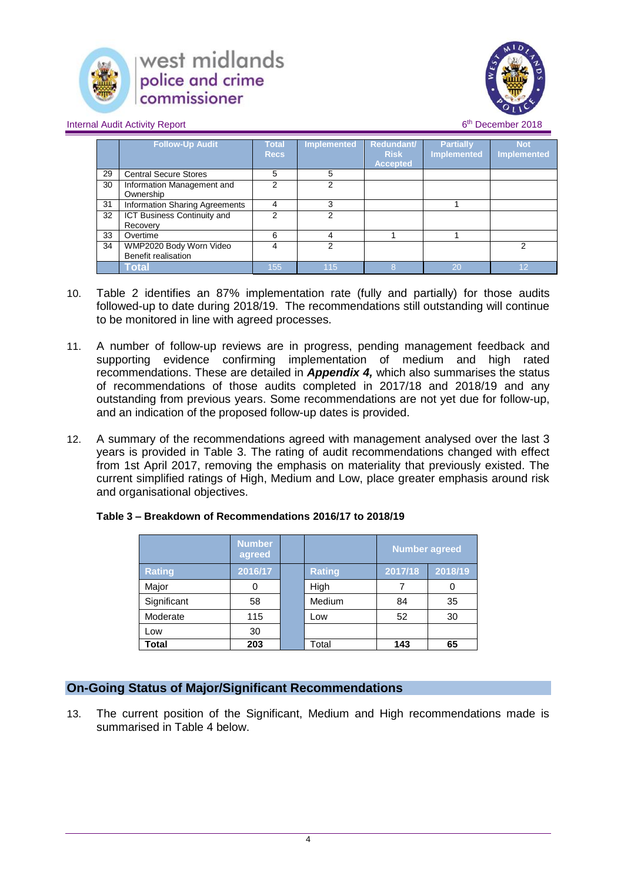



Internal Audit Activity Report 6

|    | <b>Follow-Up Audit</b>                         | <b>Total</b><br><b>Recs</b> | Implemented | <b>Redundant/</b><br><b>Risk</b><br><b>Accepted</b> | <b>Partially</b><br><b>Implemented</b> | <b>Not</b><br><b>Implemented</b> |
|----|------------------------------------------------|-----------------------------|-------------|-----------------------------------------------------|----------------------------------------|----------------------------------|
| 29 | <b>Central Secure Stores</b>                   | 5                           | 5           |                                                     |                                        |                                  |
| 30 | Information Management and<br>Ownership        | 2                           | 2           |                                                     |                                        |                                  |
| 31 | Information Sharing Agreements                 | 4                           | 3           |                                                     |                                        |                                  |
| 32 | ICT Business Continuity and<br>Recovery        | າ                           | 2           |                                                     |                                        |                                  |
| 33 | Overtime                                       | 6                           | 4           |                                                     |                                        |                                  |
| 34 | WMP2020 Body Worn Video<br>Benefit realisation | 4                           | 2           |                                                     |                                        | c                                |
|    | Total                                          | 155                         | 115         | 8                                                   | 20                                     | 12                               |

- 10. Table 2 identifies an 87% implementation rate (fully and partially) for those audits followed-up to date during 2018/19. The recommendations still outstanding will continue to be monitored in line with agreed processes.
- 11. A number of follow-up reviews are in progress, pending management feedback and supporting evidence confirming implementation of medium and high rated recommendations. These are detailed in *Appendix 4,* which also summarises the status of recommendations of those audits completed in 2017/18 and 2018/19 and any outstanding from previous years. Some recommendations are not yet due for follow-up, and an indication of the proposed follow-up dates is provided.
- 12. A summary of the recommendations agreed with management analysed over the last 3 years is provided in Table 3. The rating of audit recommendations changed with effect from 1st April 2017, removing the emphasis on materiality that previously existed. The current simplified ratings of High, Medium and Low, place greater emphasis around risk and organisational objectives.

|               | <b>Number</b><br>agreed |               | <b>Number agreed</b> |         |
|---------------|-------------------------|---------------|----------------------|---------|
| <b>Rating</b> | 2016/17                 | <b>Rating</b> | 2017/18              | 2018/19 |
| Major         | 0                       | High          |                      |         |
| Significant   | 58                      | Medium        | 84                   | 35      |
| Moderate      | 115                     | Low           | 52                   | 30      |
| Low           | 30                      |               |                      |         |
| <b>Total</b>  | 203                     | Total         | 143                  | 65      |

## **Table 3 – Breakdown of Recommendations 2016/17 to 2018/19**

## **On-Going Status of Major/Significant Recommendations**

13. The current position of the Significant, Medium and High recommendations made is summarised in Table 4 below.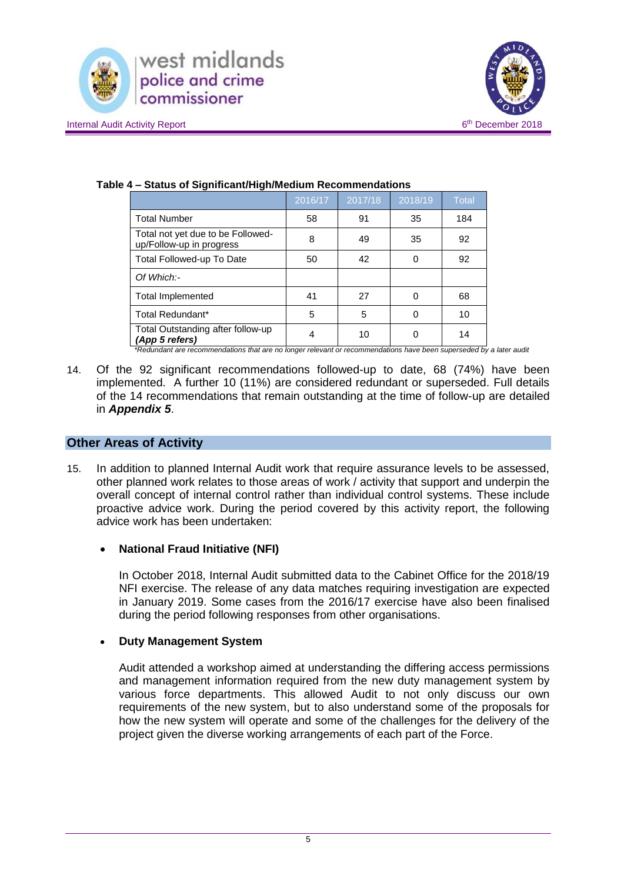



|                                                               | 2016/17 | 2017/18 | 2018/19 | <b>Total</b> |
|---------------------------------------------------------------|---------|---------|---------|--------------|
| <b>Total Number</b>                                           | 58      | 91      | 35      | 184          |
| Total not yet due to be Followed-<br>up/Follow-up in progress | 8       | 49      | 35      | 92           |
| Total Followed-up To Date                                     | 50      | 42      | 0       | 92           |
| Of Which:-                                                    |         |         |         |              |
| <b>Total Implemented</b>                                      | 41      | 27      | 0       | 68           |
| Total Redundant*                                              | 5       | 5       | 0       | 10           |
| Total Outstanding after follow-up<br>(App 5 refers)           | 4       | 10      |         | 14           |

### **Table 4 – Status of Significant/High/Medium Recommendations**

*\*Redundant are recommendations that are no longer relevant or recommendations have been superseded by a later audit*

14. Of the 92 significant recommendations followed-up to date, 68 (74%) have been implemented. A further 10 (11%) are considered redundant or superseded. Full details of the 14 recommendations that remain outstanding at the time of follow-up are detailed in *Appendix 5*.

### **Other Areas of Activity**

15. In addition to planned Internal Audit work that require assurance levels to be assessed, other planned work relates to those areas of work / activity that support and underpin the overall concept of internal control rather than individual control systems. These include proactive advice work. During the period covered by this activity report, the following advice work has been undertaken:

## **National Fraud Initiative (NFI)**

In October 2018, Internal Audit submitted data to the Cabinet Office for the 2018/19 NFI exercise. The release of any data matches requiring investigation are expected in January 2019. Some cases from the 2016/17 exercise have also been finalised during the period following responses from other organisations.

## **Duty Management System**

Audit attended a workshop aimed at understanding the differing access permissions and management information required from the new duty management system by various force departments. This allowed Audit to not only discuss our own requirements of the new system, but to also understand some of the proposals for how the new system will operate and some of the challenges for the delivery of the project given the diverse working arrangements of each part of the Force.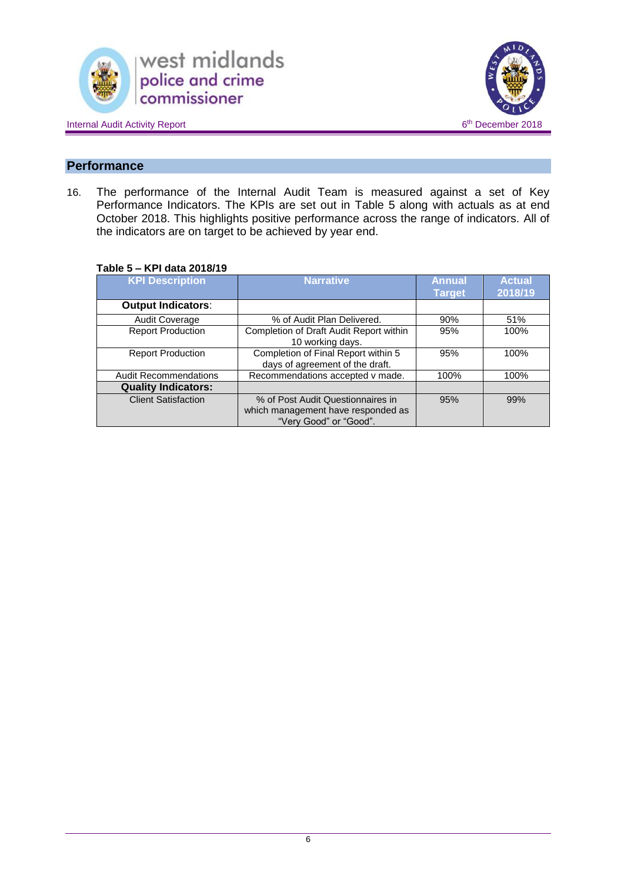





## **Performance**

16. The performance of the Internal Audit Team is measured against a set of Key Performance Indicators. The KPIs are set out in Table 5 along with actuals as at end October 2018. This highlights positive performance across the range of indicators. All of the indicators are on target to be achieved by year end.

### **Table 5 – KPI data 2018/19**

| <b>KPI Description</b>       | <b>Narrative</b>                                                                                  | <b>Annual</b><br><b>Target</b> | <b>Actual</b><br>2018/19 |
|------------------------------|---------------------------------------------------------------------------------------------------|--------------------------------|--------------------------|
| <b>Output Indicators:</b>    |                                                                                                   |                                |                          |
| <b>Audit Coverage</b>        | % of Audit Plan Delivered.                                                                        | 90%                            | 51%                      |
| <b>Report Production</b>     | Completion of Draft Audit Report within<br>10 working days.                                       | 95%                            | 100%                     |
| <b>Report Production</b>     | Completion of Final Report within 5<br>days of agreement of the draft.                            | 95%                            | 100%                     |
| <b>Audit Recommendations</b> | Recommendations accepted v made.                                                                  | 100%                           | 100%                     |
| <b>Quality Indicators:</b>   |                                                                                                   |                                |                          |
| <b>Client Satisfaction</b>   | % of Post Audit Questionnaires in<br>which management have responded as<br>"Very Good" or "Good". | 95%                            | 99%                      |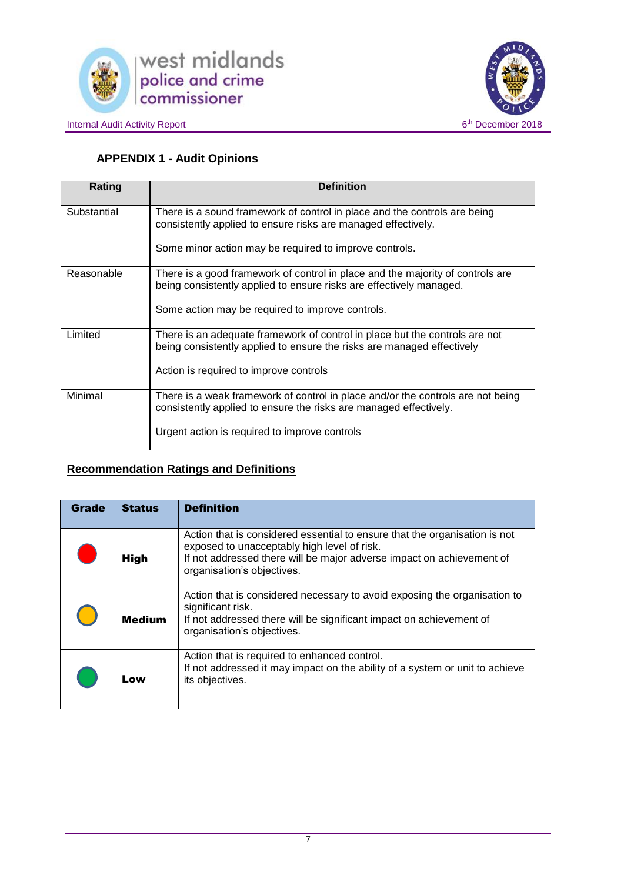



## **APPENDIX 1 - Audit Opinions**

| Rating      | <b>Definition</b>                                                                                                                                     |
|-------------|-------------------------------------------------------------------------------------------------------------------------------------------------------|
| Substantial | There is a sound framework of control in place and the controls are being<br>consistently applied to ensure risks are managed effectively.            |
|             | Some minor action may be required to improve controls.                                                                                                |
| Reasonable  | There is a good framework of control in place and the majority of controls are<br>being consistently applied to ensure risks are effectively managed. |
|             | Some action may be required to improve controls.                                                                                                      |
| Limited     | There is an adequate framework of control in place but the controls are not<br>being consistently applied to ensure the risks are managed effectively |
|             | Action is required to improve controls                                                                                                                |
| Minimal     | There is a weak framework of control in place and/or the controls are not being<br>consistently applied to ensure the risks are managed effectively.  |
|             | Urgent action is required to improve controls                                                                                                         |

## **Recommendation Ratings and Definitions**

| <b>Grade</b> | <b>Status</b> | <b>Definition</b>                                                                                                                                                                                                                |
|--------------|---------------|----------------------------------------------------------------------------------------------------------------------------------------------------------------------------------------------------------------------------------|
| in.<br>List  | <b>High</b>   | Action that is considered essential to ensure that the organisation is not<br>exposed to unacceptably high level of risk.<br>If not addressed there will be major adverse impact on achievement of<br>organisation's objectives. |
|              | <b>Medium</b> | Action that is considered necessary to avoid exposing the organisation to<br>significant risk.<br>If not addressed there will be significant impact on achievement of<br>organisation's objectives.                              |
|              | Low           | Action that is required to enhanced control.<br>If not addressed it may impact on the ability of a system or unit to achieve<br>its objectives.                                                                                  |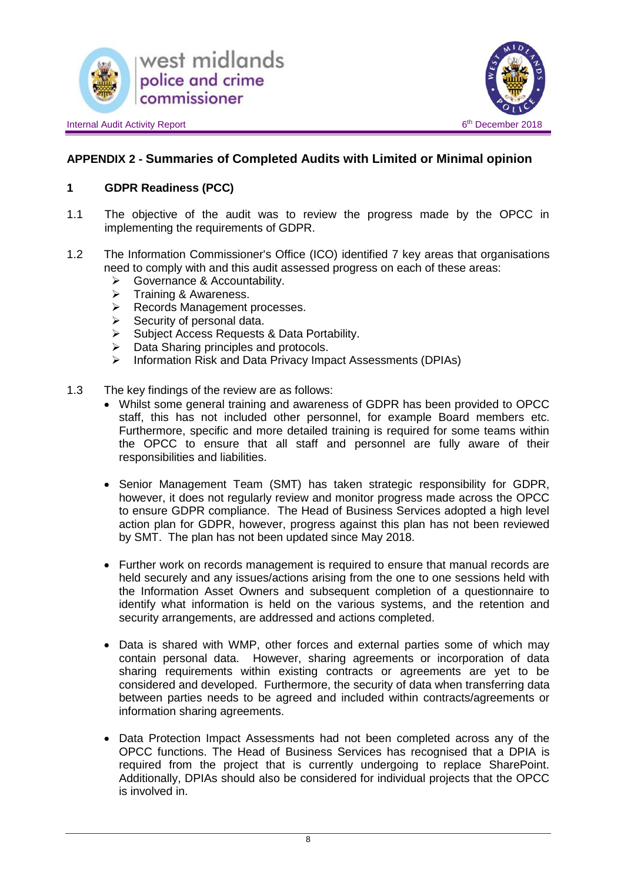



## **APPENDIX 2 - Summaries of Completed Audits with Limited or Minimal opinion**

## **1 GDPR Readiness (PCC)**

- 1.1 The objective of the audit was to review the progress made by the OPCC in implementing the requirements of GDPR.
- 1.2 The Information Commissioner's Office (ICO) identified 7 key areas that organisations need to comply with and this audit assessed progress on each of these areas:
	- **►** Governance & Accountability.
	- $\triangleright$  Training & Awareness.<br> $\triangleright$  Records Management
	- Records Management processes.<br>
	Recurity of personal data
	- $\triangleright$  Security of personal data.<br> $\triangleright$  Subject Access Requests
	- Subject Access Requests & Data Portability.
	- $\triangleright$  Data Sharing principles and protocols.
	- $\triangleright$  Information Risk and Data Privacy Impact Assessments (DPIAs)
- 1.3 The key findings of the review are as follows:
	- Whilst some general training and awareness of GDPR has been provided to OPCC staff, this has not included other personnel, for example Board members etc. Furthermore, specific and more detailed training is required for some teams within the OPCC to ensure that all staff and personnel are fully aware of their responsibilities and liabilities.
	- Senior Management Team (SMT) has taken strategic responsibility for GDPR, however, it does not regularly review and monitor progress made across the OPCC to ensure GDPR compliance. The Head of Business Services adopted a high level action plan for GDPR, however, progress against this plan has not been reviewed by SMT. The plan has not been updated since May 2018.
	- Further work on records management is required to ensure that manual records are held securely and any issues/actions arising from the one to one sessions held with the Information Asset Owners and subsequent completion of a questionnaire to identify what information is held on the various systems, and the retention and security arrangements, are addressed and actions completed.
	- Data is shared with WMP, other forces and external parties some of which may contain personal data. However, sharing agreements or incorporation of data sharing requirements within existing contracts or agreements are yet to be considered and developed. Furthermore, the security of data when transferring data between parties needs to be agreed and included within contracts/agreements or information sharing agreements.
	- Data Protection Impact Assessments had not been completed across any of the OPCC functions. The Head of Business Services has recognised that a DPIA is required from the project that is currently undergoing to replace SharePoint. Additionally, DPIAs should also be considered for individual projects that the OPCC is involved in.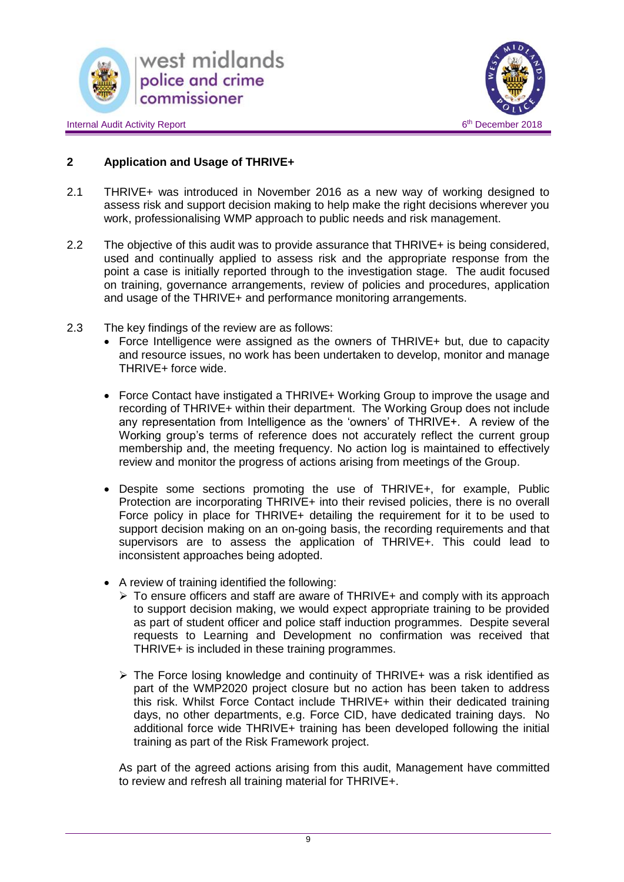





## **2 Application and Usage of THRIVE+**

- 2.1 THRIVE+ was introduced in November 2016 as a new way of working designed to assess risk and support decision making to help make the right decisions wherever you work, professionalising WMP approach to public needs and risk management.
- 2.2 The objective of this audit was to provide assurance that THRIVE+ is being considered, used and continually applied to assess risk and the appropriate response from the point a case is initially reported through to the investigation stage. The audit focused on training, governance arrangements, review of policies and procedures, application and usage of the THRIVE+ and performance monitoring arrangements.
- 2.3 The key findings of the review are as follows:
	- Force Intelligence were assigned as the owners of THRIVE+ but, due to capacity and resource issues, no work has been undertaken to develop, monitor and manage THRIVE+ force wide.
	- Force Contact have instigated a THRIVE+ Working Group to improve the usage and recording of THRIVE+ within their department. The Working Group does not include any representation from Intelligence as the 'owners' of THRIVE+. A review of the Working group's terms of reference does not accurately reflect the current group membership and, the meeting frequency. No action log is maintained to effectively review and monitor the progress of actions arising from meetings of the Group.
	- Despite some sections promoting the use of THRIVE+, for example, Public Protection are incorporating THRIVE+ into their revised policies, there is no overall Force policy in place for THRIVE+ detailing the requirement for it to be used to support decision making on an on-going basis, the recording requirements and that supervisors are to assess the application of THRIVE+. This could lead to inconsistent approaches being adopted.
	- A review of training identified the following:
		- $\triangleright$  To ensure officers and staff are aware of THRIVE+ and comply with its approach to support decision making, we would expect appropriate training to be provided as part of student officer and police staff induction programmes. Despite several requests to Learning and Development no confirmation was received that THRIVE+ is included in these training programmes.
		- $\triangleright$  The Force losing knowledge and continuity of THRIVE+ was a risk identified as part of the WMP2020 project closure but no action has been taken to address this risk. Whilst Force Contact include THRIVE+ within their dedicated training days, no other departments, e.g. Force CID, have dedicated training days. No additional force wide THRIVE+ training has been developed following the initial training as part of the Risk Framework project.

As part of the agreed actions arising from this audit, Management have committed to review and refresh all training material for THRIVE+.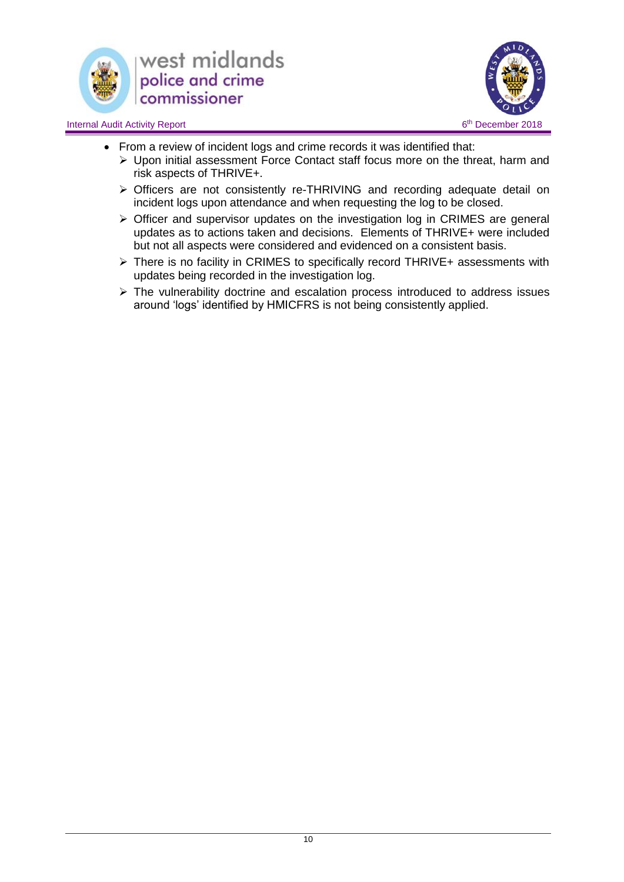



- From a review of incident logs and crime records it was identified that:
	- Upon initial assessment Force Contact staff focus more on the threat, harm and risk aspects of THRIVE+.
	- Officers are not consistently re-THRIVING and recording adequate detail on incident logs upon attendance and when requesting the log to be closed.
	- Officer and supervisor updates on the investigation log in CRIMES are general updates as to actions taken and decisions. Elements of THRIVE+ were included but not all aspects were considered and evidenced on a consistent basis.
	- ▶ There is no facility in CRIMES to specifically record THRIVE+ assessments with updates being recorded in the investigation log.
	- $\triangleright$  The vulnerability doctrine and escalation process introduced to address issues around 'logs' identified by HMICFRS is not being consistently applied.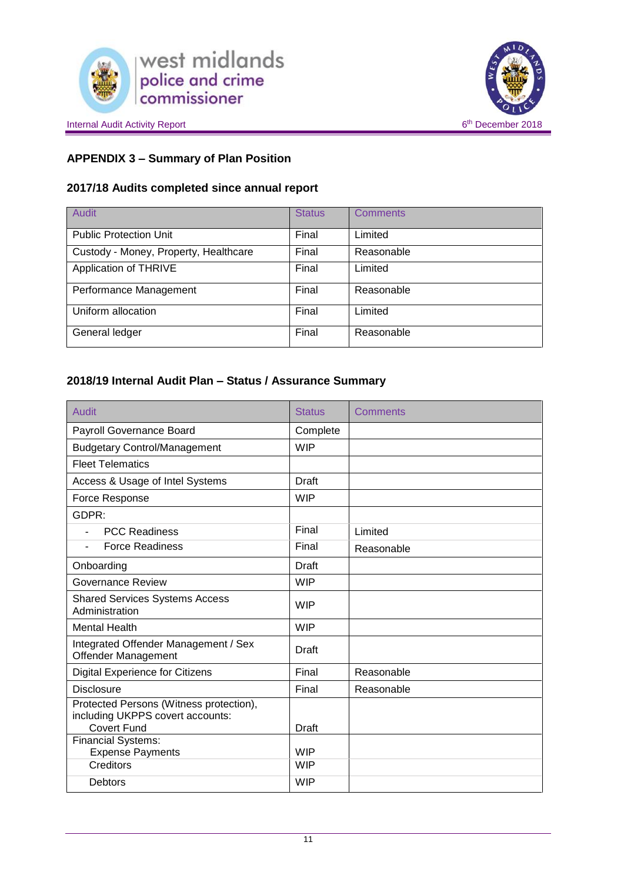



## **APPENDIX 3 – Summary of Plan Position**

## **2017/18 Audits completed since annual report**

| <b>Audit</b>                          | <b>Status</b> | <b>Comments</b> |
|---------------------------------------|---------------|-----------------|
| <b>Public Protection Unit</b>         | Final         | Limited         |
| Custody - Money, Property, Healthcare | Final         | Reasonable      |
| Application of THRIVE                 | Final         | Limited         |
| Performance Management                | Final         | Reasonable      |
| Uniform allocation                    | Final         | Limited         |
| General ledger                        | Final         | Reasonable      |

## **2018/19 Internal Audit Plan – Status / Assurance Summary**

| Audit                                                                       | <b>Status</b> | Comments   |
|-----------------------------------------------------------------------------|---------------|------------|
| Payroll Governance Board                                                    | Complete      |            |
| <b>Budgetary Control/Management</b>                                         | <b>WIP</b>    |            |
| <b>Fleet Telematics</b>                                                     |               |            |
| Access & Usage of Intel Systems                                             | Draft         |            |
| Force Response                                                              | <b>WIP</b>    |            |
| GDPR:                                                                       |               |            |
| <b>PCC Readiness</b>                                                        | Final         | Limited    |
| <b>Force Readiness</b>                                                      | Final         | Reasonable |
| Onboarding                                                                  | <b>Draft</b>  |            |
| Governance Review                                                           | <b>WIP</b>    |            |
| <b>Shared Services Systems Access</b><br>Administration                     | <b>WIP</b>    |            |
| <b>Mental Health</b>                                                        | <b>WIP</b>    |            |
| Integrated Offender Management / Sex<br>Offender Management                 | Draft         |            |
| <b>Digital Experience for Citizens</b>                                      | Final         | Reasonable |
| <b>Disclosure</b>                                                           | Final         | Reasonable |
| Protected Persons (Witness protection),<br>including UKPPS covert accounts: |               |            |
| <b>Covert Fund</b><br><b>Financial Systems:</b>                             | Draft         |            |
| <b>Expense Payments</b>                                                     | <b>WIP</b>    |            |
| Creditors                                                                   | <b>WIP</b>    |            |
| <b>Debtors</b>                                                              | <b>WIP</b>    |            |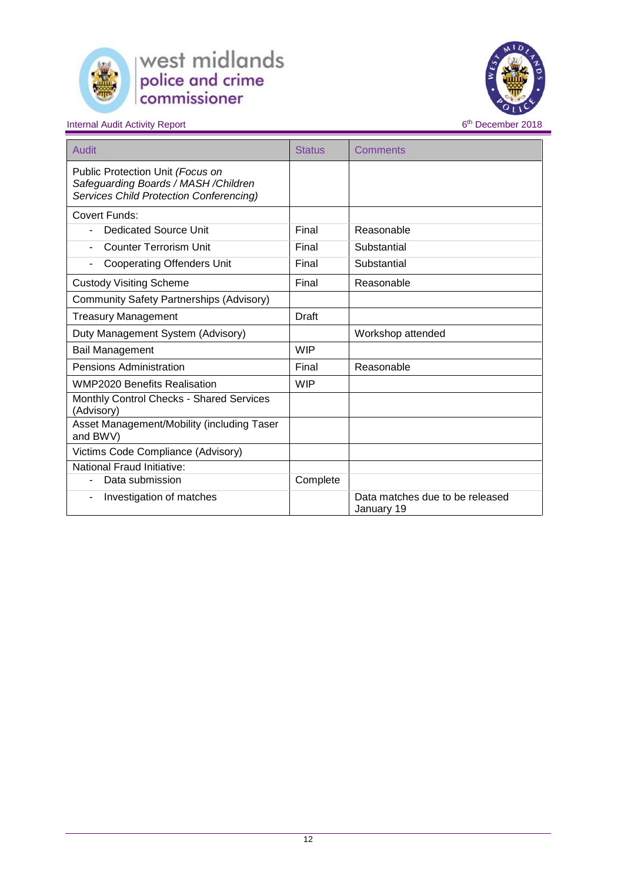



| Audit                                                                                                                | <b>Status</b> | Comments                                      |
|----------------------------------------------------------------------------------------------------------------------|---------------|-----------------------------------------------|
| Public Protection Unit (Focus on<br>Safeguarding Boards / MASH / Children<br>Services Child Protection Conferencing) |               |                                               |
| Covert Funds:                                                                                                        |               |                                               |
| <b>Dedicated Source Unit</b>                                                                                         | Final         | Reasonable                                    |
| Counter Terrorism Unit                                                                                               | Final         | Substantial                                   |
| <b>Cooperating Offenders Unit</b>                                                                                    | Final         | Substantial                                   |
| <b>Custody Visiting Scheme</b>                                                                                       | Final         | Reasonable                                    |
| <b>Community Safety Partnerships (Advisory)</b>                                                                      |               |                                               |
| <b>Treasury Management</b>                                                                                           | Draft         |                                               |
| Duty Management System (Advisory)                                                                                    |               | Workshop attended                             |
| <b>Bail Management</b>                                                                                               | <b>WIP</b>    |                                               |
| <b>Pensions Administration</b>                                                                                       | Final         | Reasonable                                    |
| <b>WMP2020 Benefits Realisation</b>                                                                                  | <b>WIP</b>    |                                               |
| Monthly Control Checks - Shared Services<br>(Advisory)                                                               |               |                                               |
| Asset Management/Mobility (including Taser<br>and BWV)                                                               |               |                                               |
| Victims Code Compliance (Advisory)                                                                                   |               |                                               |
| National Fraud Initiative:                                                                                           |               |                                               |
| Data submission                                                                                                      | Complete      |                                               |
| Investigation of matches                                                                                             |               | Data matches due to be released<br>January 19 |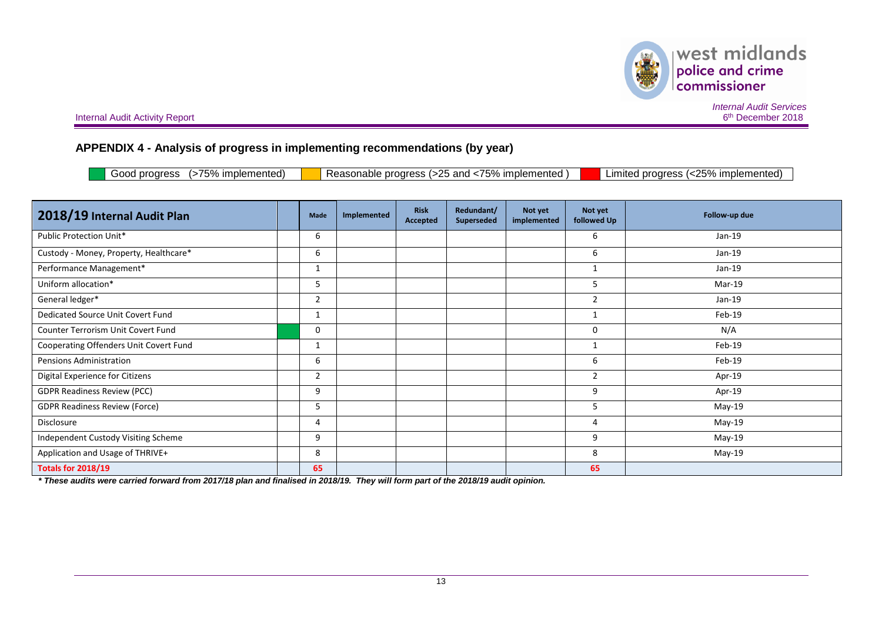

 $\begin{array}{c} \hspace{-1.5mm} \text{west midlands} \\ \text{policy and crime} \\ \text{commissioner} \end{array}$ 美

Internal Audit Activity Report

*Internal Audit Services* 6<sup>th</sup> December 2018

## **APPENDIX 4 - Analysis of progress in implementing recommendations (by year)**

| (>75% implemented)<br>Reasonable progress (>25 and <75% implemented)<br>Limited progress (<25% implemented)<br>Good progress |
|------------------------------------------------------------------------------------------------------------------------------|
|------------------------------------------------------------------------------------------------------------------------------|

| 2018/19 Internal Audit Plan            |  | Made           | Implemented | <b>Risk</b><br>Accepted | Redundant/<br><b>Superseded</b> | Not yet<br>implemented | Not yet<br>followed Up | Follow-up due |
|----------------------------------------|--|----------------|-------------|-------------------------|---------------------------------|------------------------|------------------------|---------------|
| Public Protection Unit*                |  | 6              |             |                         |                                 |                        | 6                      | $Jan-19$      |
| Custody - Money, Property, Healthcare* |  | 6              |             |                         |                                 |                        | 6                      | Jan-19        |
| Performance Management*                |  | 1              |             |                         |                                 |                        |                        | $Jan-19$      |
| Uniform allocation*                    |  | 5              |             |                         |                                 |                        | 5                      | Mar-19        |
| General ledger*                        |  | 2              |             |                         |                                 |                        | $\overline{2}$         | $Jan-19$      |
| Dedicated Source Unit Covert Fund      |  | 1              |             |                         |                                 |                        |                        | Feb-19        |
| Counter Terrorism Unit Covert Fund     |  | 0              |             |                         |                                 |                        | 0                      | N/A           |
| Cooperating Offenders Unit Covert Fund |  | $\mathbf{1}$   |             |                         |                                 |                        |                        | Feb-19        |
| Pensions Administration                |  | 6              |             |                         |                                 |                        | 6                      | Feb-19        |
| Digital Experience for Citizens        |  | $\overline{2}$ |             |                         |                                 |                        | $\overline{2}$         | Apr-19        |
| <b>GDPR Readiness Review (PCC)</b>     |  | 9              |             |                         |                                 |                        | 9                      | Apr-19        |
| <b>GDPR Readiness Review (Force)</b>   |  | 5              |             |                         |                                 |                        | 5                      | May-19        |
| Disclosure                             |  | 4              |             |                         |                                 |                        | 4                      | May-19        |
| Independent Custody Visiting Scheme    |  | 9              |             |                         |                                 |                        | 9                      | May-19        |
| Application and Usage of THRIVE+       |  | 8              |             |                         |                                 |                        | 8                      | May-19        |
| <b>Totals for 2018/19</b>              |  | 65             |             |                         |                                 |                        | 65                     |               |

*\* These audits were carried forward from 2017/18 plan and finalised in 2018/19. They will form part of the 2018/19 audit opinion.*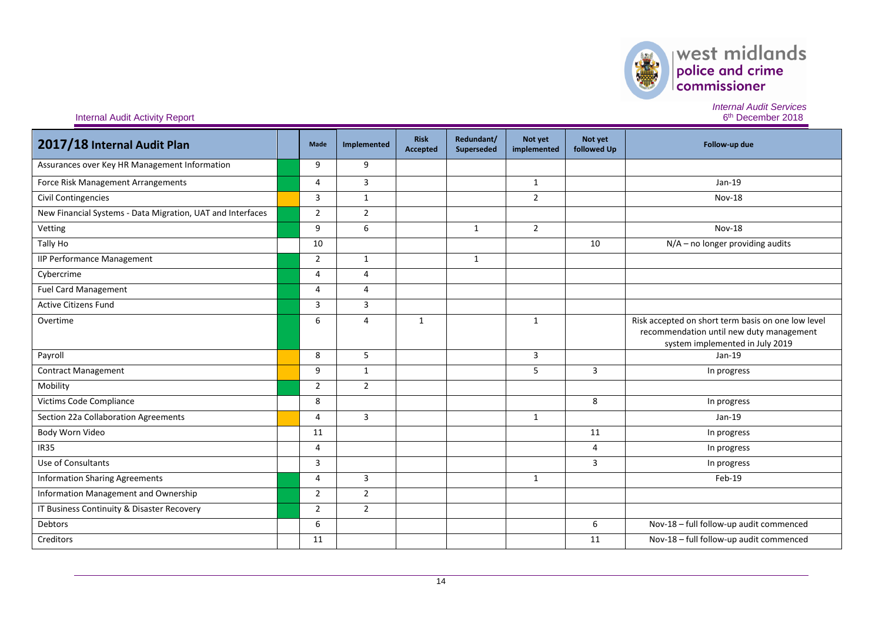

*Internal Audit Services*

6<sup>th</sup> December 2018

| 2017/18 Internal Audit Plan                                | <b>Made</b>    | Implemented    | <b>Risk</b><br><b>Accepted</b> | Redundant/<br>Superseded | Not yet<br>implemented | Not yet<br>followed Up | Follow-up due                                                                                                                     |
|------------------------------------------------------------|----------------|----------------|--------------------------------|--------------------------|------------------------|------------------------|-----------------------------------------------------------------------------------------------------------------------------------|
| Assurances over Key HR Management Information              | 9              | 9              |                                |                          |                        |                        |                                                                                                                                   |
| Force Risk Management Arrangements                         | $\overline{4}$ | 3              |                                |                          | $\mathbf{1}$           |                        | Jan-19                                                                                                                            |
| <b>Civil Contingencies</b>                                 | 3              | $\mathbf{1}$   |                                |                          | $\overline{2}$         |                        | <b>Nov-18</b>                                                                                                                     |
| New Financial Systems - Data Migration, UAT and Interfaces | $\overline{2}$ | $\overline{2}$ |                                |                          |                        |                        |                                                                                                                                   |
| Vetting                                                    | 9              | 6              |                                | $\mathbf{1}$             | $\overline{2}$         |                        | <b>Nov-18</b>                                                                                                                     |
| Tally Ho                                                   | 10             |                |                                |                          |                        | 10                     | $N/A$ – no longer providing audits                                                                                                |
| <b>IIP Performance Management</b>                          | $\overline{2}$ | $\mathbf{1}$   |                                | $\mathbf{1}$             |                        |                        |                                                                                                                                   |
| Cybercrime                                                 | 4              | 4              |                                |                          |                        |                        |                                                                                                                                   |
| <b>Fuel Card Management</b>                                | $\overline{4}$ | 4              |                                |                          |                        |                        |                                                                                                                                   |
| <b>Active Citizens Fund</b>                                | 3              | 3              |                                |                          |                        |                        |                                                                                                                                   |
| Overtime                                                   | 6              | 4              | $\mathbf{1}$                   |                          | $\mathbf{1}$           |                        | Risk accepted on short term basis on one low level<br>recommendation until new duty management<br>system implemented in July 2019 |
| Payroll                                                    | 8              | 5              |                                |                          | 3                      |                        | Jan-19                                                                                                                            |
| <b>Contract Management</b>                                 | 9              | $\mathbf{1}$   |                                |                          | 5                      | 3                      | In progress                                                                                                                       |
| Mobility                                                   | $\overline{2}$ | $\overline{2}$ |                                |                          |                        |                        |                                                                                                                                   |
| Victims Code Compliance                                    | 8              |                |                                |                          |                        | 8                      | In progress                                                                                                                       |
| Section 22a Collaboration Agreements                       | 4              | 3              |                                |                          | $\mathbf{1}$           |                        | $Jan-19$                                                                                                                          |
| Body Worn Video                                            | 11             |                |                                |                          |                        | 11                     | In progress                                                                                                                       |
| <b>IR35</b>                                                | $\overline{4}$ |                |                                |                          |                        | 4                      | In progress                                                                                                                       |
| Use of Consultants                                         | 3              |                |                                |                          |                        | 3                      | In progress                                                                                                                       |
| <b>Information Sharing Agreements</b>                      | 4              | 3              |                                |                          | 1                      |                        | Feb-19                                                                                                                            |
| Information Management and Ownership                       | $\overline{2}$ | $\overline{2}$ |                                |                          |                        |                        |                                                                                                                                   |
| IT Business Continuity & Disaster Recovery                 | $\overline{2}$ | $\overline{2}$ |                                |                          |                        |                        |                                                                                                                                   |
| Debtors                                                    | 6              |                |                                |                          |                        | 6                      | Nov-18 - full follow-up audit commenced                                                                                           |
| Creditors                                                  | 11             |                |                                |                          |                        | 11                     | Nov-18 - full follow-up audit commenced                                                                                           |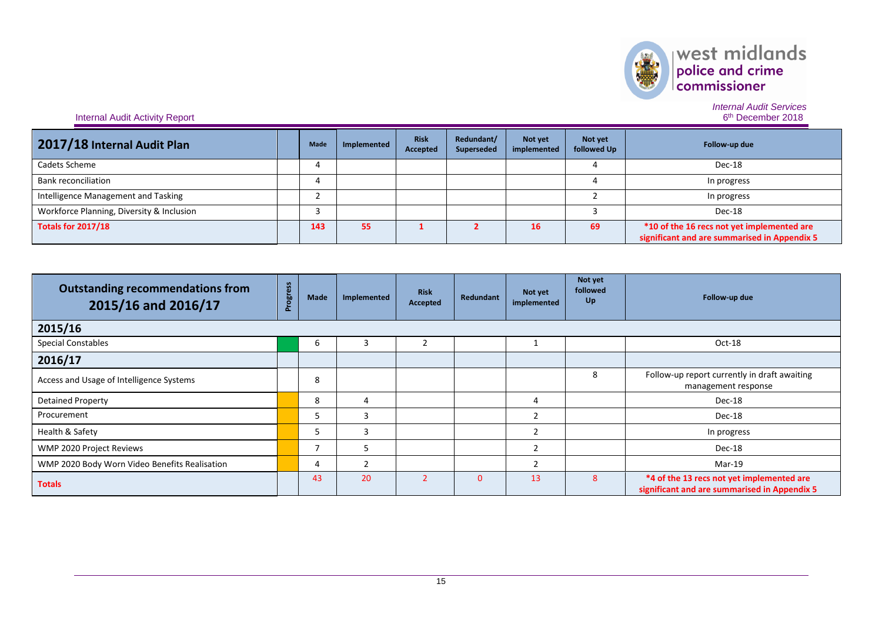

*Internal Audit Services*

6<sup>th</sup> December 2018

| 2017/18 Internal Audit Plan               | Made | Implemented | <b>Risk</b><br>Accepted | Redundant/<br>Superseded | Not yet<br>implemented | Not yet<br>followed Up | Follow-up due                                                                              |
|-------------------------------------------|------|-------------|-------------------------|--------------------------|------------------------|------------------------|--------------------------------------------------------------------------------------------|
| Cadets Scheme                             |      |             |                         |                          |                        |                        | Dec-18                                                                                     |
| <b>Bank reconciliation</b>                |      |             |                         |                          |                        |                        | In progress                                                                                |
| Intelligence Management and Tasking       |      |             |                         |                          |                        |                        | In progress                                                                                |
| Workforce Planning, Diversity & Inclusion |      |             |                         |                          |                        |                        | Dec-18                                                                                     |
| <b>Totals for 2017/18</b>                 | 143  | 55          |                         |                          | 16                     | 69                     | *10 of the 16 recs not yet implemented are<br>significant and are summarised in Appendix 5 |

| <b>Outstanding recommendations from</b><br>2015/16 and 2016/17 | ess<br>Progro | Made | Implemented | <b>Risk</b><br>Accepted | Redundant | Not yet<br>implemented | Not yet<br>followed<br>Up | Follow-up due                                                                             |
|----------------------------------------------------------------|---------------|------|-------------|-------------------------|-----------|------------------------|---------------------------|-------------------------------------------------------------------------------------------|
| 2015/16                                                        |               |      |             |                         |           |                        |                           |                                                                                           |
| <b>Special Constables</b>                                      |               | b    |             |                         |           |                        |                           | Oct-18                                                                                    |
| 2016/17                                                        |               |      |             |                         |           |                        |                           |                                                                                           |
| Access and Usage of Intelligence Systems                       |               | 8    |             |                         |           |                        | 8                         | Follow-up report currently in draft awaiting<br>management response                       |
| <b>Detained Property</b>                                       |               | 8    | 4           |                         |           | 4                      |                           | Dec-18                                                                                    |
| Procurement                                                    |               | 5    | ₹           |                         |           | $\overline{2}$         |                           | Dec-18                                                                                    |
| Health & Safety                                                |               | 5    | 3           |                         |           | $\overline{2}$         |                           | In progress                                                                               |
| WMP 2020 Project Reviews                                       |               |      | 5           |                         |           | $\overline{2}$         |                           | Dec-18                                                                                    |
| WMP 2020 Body Worn Video Benefits Realisation                  |               | 4    |             |                         |           | $\overline{2}$         |                           | Mar-19                                                                                    |
| <b>Totals</b>                                                  |               | 43   | 20          |                         | $\Omega$  | 13                     | 8                         | *4 of the 13 recs not yet implemented are<br>significant and are summarised in Appendix 5 |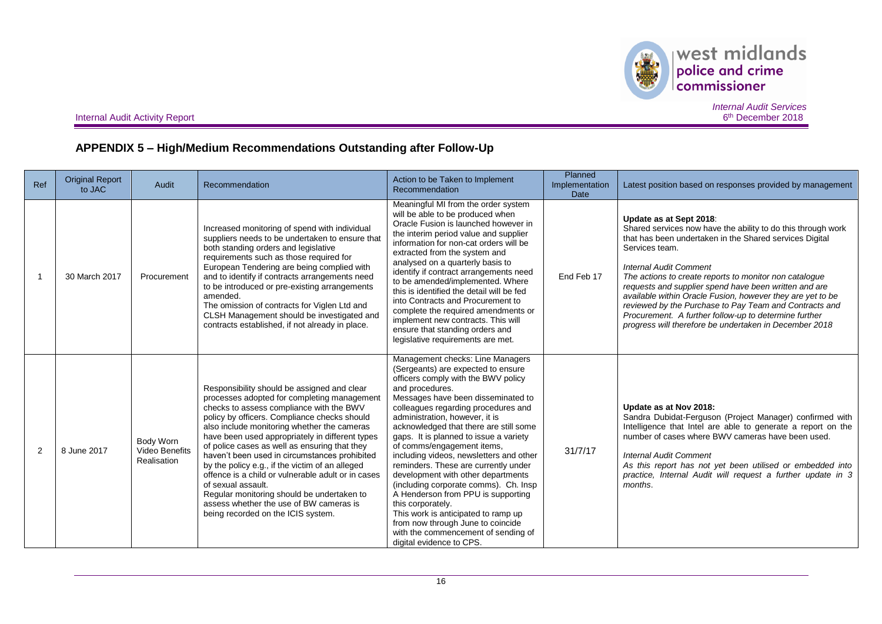

 $\begin{array}{|l|} \hline \textbf{west midlands} \\ \hline \textbf{policy and crime} \\ \textbf{commissioner} \end{array}$ 

Internal Audit Activity Report

*Internal Audit Services* 6<sup>th</sup> December 2018

## **APPENDIX 5 – High/Medium Recommendations Outstanding after Follow-Up**

| Ref           | <b>Original Report</b><br>to JAC | Audit                                             | Recommendation                                                                                                                                                                                                                                                                                                                                                                                                                                                                                                                                                                                                                                           | Action to be Taken to Implement<br>Recommendation                                                                                                                                                                                                                                                                                                                                                                                                                                                                                                                                                                                                                                                                                             | Planned<br>Implementation<br><b>Date</b> | Latest position based on responses provided by management                                                                                                                                                                                                                                                                                                                                                                                                                                                                                                           |
|---------------|----------------------------------|---------------------------------------------------|----------------------------------------------------------------------------------------------------------------------------------------------------------------------------------------------------------------------------------------------------------------------------------------------------------------------------------------------------------------------------------------------------------------------------------------------------------------------------------------------------------------------------------------------------------------------------------------------------------------------------------------------------------|-----------------------------------------------------------------------------------------------------------------------------------------------------------------------------------------------------------------------------------------------------------------------------------------------------------------------------------------------------------------------------------------------------------------------------------------------------------------------------------------------------------------------------------------------------------------------------------------------------------------------------------------------------------------------------------------------------------------------------------------------|------------------------------------------|---------------------------------------------------------------------------------------------------------------------------------------------------------------------------------------------------------------------------------------------------------------------------------------------------------------------------------------------------------------------------------------------------------------------------------------------------------------------------------------------------------------------------------------------------------------------|
|               | 30 March 2017                    | Procurement                                       | Increased monitoring of spend with individual<br>suppliers needs to be undertaken to ensure that<br>both standing orders and legislative<br>requirements such as those required for<br>European Tendering are being complied with<br>and to identify if contracts arrangements need<br>to be introduced or pre-existing arrangements<br>amended.<br>The omission of contracts for Viglen Ltd and<br>CLSH Management should be investigated and<br>contracts established, if not already in place.                                                                                                                                                        | Meaningful MI from the order system<br>will be able to be produced when<br>Oracle Fusion is launched however in<br>the interim period value and supplier<br>information for non-cat orders will be<br>extracted from the system and<br>analysed on a quarterly basis to<br>identify if contract arrangements need<br>to be amended/implemented. Where<br>this is identified the detail will be fed<br>into Contracts and Procurement to<br>complete the required amendments or<br>implement new contracts. This will<br>ensure that standing orders and<br>legislative requirements are met.                                                                                                                                                  | End Feb 17                               | Update as at Sept 2018:<br>Shared services now have the ability to do this through work<br>that has been undertaken in the Shared services Digital<br>Services team.<br><b>Internal Audit Comment</b><br>The actions to create reports to monitor non catalogue<br>requests and supplier spend have been written and are<br>available within Oracle Fusion, however they are yet to be<br>reviewed by the Purchase to Pay Team and Contracts and<br>Procurement. A further follow-up to determine further<br>progress will therefore be undertaken in December 2018 |
| $\mathcal{P}$ | 8 June 2017                      | Body Worn<br><b>Video Benefits</b><br>Realisation | Responsibility should be assigned and clear<br>processes adopted for completing management<br>checks to assess compliance with the BWV<br>policy by officers. Compliance checks should<br>also include monitoring whether the cameras<br>have been used appropriately in different types<br>of police cases as well as ensuring that they<br>haven't been used in circumstances prohibited<br>by the policy e.g., if the victim of an alleged<br>offence is a child or vulnerable adult or in cases<br>of sexual assault.<br>Regular monitoring should be undertaken to<br>assess whether the use of BW cameras is<br>being recorded on the ICIS system. | Management checks: Line Managers<br>(Sergeants) are expected to ensure<br>officers comply with the BWV policy<br>and procedures.<br>Messages have been disseminated to<br>colleagues regarding procedures and<br>administration, however, it is<br>acknowledged that there are still some<br>gaps. It is planned to issue a variety<br>of comms/engagement items,<br>including videos, newsletters and other<br>reminders. These are currently under<br>development with other departments<br>(including corporate comms). Ch. Insp<br>A Henderson from PPU is supporting<br>this corporately.<br>This work is anticipated to ramp up<br>from now through June to coincide<br>with the commencement of sending of<br>digital evidence to CPS. | 31/7/17                                  | Update as at Nov 2018:<br>Sandra Dubidat-Ferguson (Project Manager) confirmed with<br>Intelligence that Intel are able to generate a report on the<br>number of cases where BWV cameras have been used.<br><b>Internal Audit Comment</b><br>As this report has not yet been utilised or embedded into<br>practice, Internal Audit will request a further update in 3<br>months.                                                                                                                                                                                     |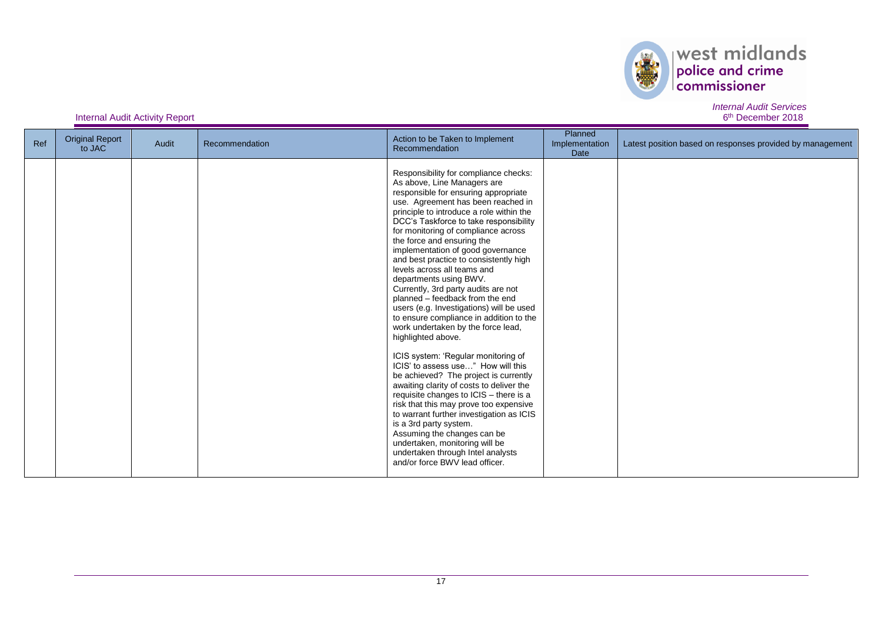

6<sup>th</sup> December 2018

| Ref | <b>Original Report</b><br>to JAC | Audit | Recommendation | Action to be Taken to Implement<br>Recommendation                                                                                                                                                                                                                                                                                                                                                                                                                                                                                                                                                                                                                                                                                                                                                                                                                                                                                                                                                                                                                                                                                                      | Planned<br>Implementation<br>Date | Latest position based on responses provided by management |
|-----|----------------------------------|-------|----------------|--------------------------------------------------------------------------------------------------------------------------------------------------------------------------------------------------------------------------------------------------------------------------------------------------------------------------------------------------------------------------------------------------------------------------------------------------------------------------------------------------------------------------------------------------------------------------------------------------------------------------------------------------------------------------------------------------------------------------------------------------------------------------------------------------------------------------------------------------------------------------------------------------------------------------------------------------------------------------------------------------------------------------------------------------------------------------------------------------------------------------------------------------------|-----------------------------------|-----------------------------------------------------------|
|     |                                  |       |                | Responsibility for compliance checks:<br>As above, Line Managers are<br>responsible for ensuring appropriate<br>use. Agreement has been reached in<br>principle to introduce a role within the<br>DCC's Taskforce to take responsibility<br>for monitoring of compliance across<br>the force and ensuring the<br>implementation of good governance<br>and best practice to consistently high<br>levels across all teams and<br>departments using BWV.<br>Currently, 3rd party audits are not<br>planned - feedback from the end<br>users (e.g. Investigations) will be used<br>to ensure compliance in addition to the<br>work undertaken by the force lead,<br>highlighted above.<br>ICIS system: 'Regular monitoring of<br>ICIS' to assess use" How will this<br>be achieved? The project is currently<br>awaiting clarity of costs to deliver the<br>requisite changes to ICIS - there is a<br>risk that this may prove too expensive<br>to warrant further investigation as ICIS<br>is a 3rd party system.<br>Assuming the changes can be<br>undertaken, monitoring will be<br>undertaken through Intel analysts<br>and/or force BWV lead officer. |                                   |                                                           |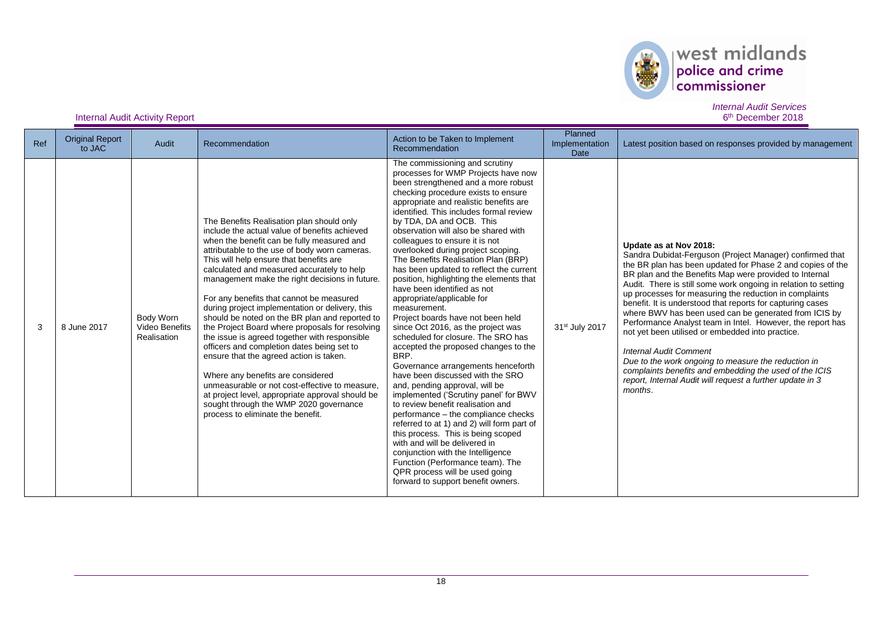

### Internal Audit Activity Report

*Internal Audit Services* 6<sup>th</sup> December 2018

| Ref | <b>Original Report</b><br>to JAC | Audit                                             | Recommendation                                                                                                                                                                                                                                                                                                                                                                                                                                                                                                                                                                                                                                                                                                                                                                                                                                                                                               | Action to be Taken to Implement<br>Recommendation                                                                                                                                                                                                                                                                                                                                                                                                                                                                                                                                                                                                                                                                                                                                                                                                                                                                                                                                                                                                                                                                                                                                                                                                                       | Planned<br>Implementation<br><b>Date</b> | Latest position based on responses provided by management                                                                                                                                                                                                                                                                                                                                                                                                                                                                                                                                                                                                                                                                                                                                                 |
|-----|----------------------------------|---------------------------------------------------|--------------------------------------------------------------------------------------------------------------------------------------------------------------------------------------------------------------------------------------------------------------------------------------------------------------------------------------------------------------------------------------------------------------------------------------------------------------------------------------------------------------------------------------------------------------------------------------------------------------------------------------------------------------------------------------------------------------------------------------------------------------------------------------------------------------------------------------------------------------------------------------------------------------|-------------------------------------------------------------------------------------------------------------------------------------------------------------------------------------------------------------------------------------------------------------------------------------------------------------------------------------------------------------------------------------------------------------------------------------------------------------------------------------------------------------------------------------------------------------------------------------------------------------------------------------------------------------------------------------------------------------------------------------------------------------------------------------------------------------------------------------------------------------------------------------------------------------------------------------------------------------------------------------------------------------------------------------------------------------------------------------------------------------------------------------------------------------------------------------------------------------------------------------------------------------------------|------------------------------------------|-----------------------------------------------------------------------------------------------------------------------------------------------------------------------------------------------------------------------------------------------------------------------------------------------------------------------------------------------------------------------------------------------------------------------------------------------------------------------------------------------------------------------------------------------------------------------------------------------------------------------------------------------------------------------------------------------------------------------------------------------------------------------------------------------------------|
| 3   | 8 June 2017                      | Body Worn<br><b>Video Benefits</b><br>Realisation | The Benefits Realisation plan should only<br>include the actual value of benefits achieved<br>when the benefit can be fully measured and<br>attributable to the use of body worn cameras.<br>This will help ensure that benefits are<br>calculated and measured accurately to help<br>management make the right decisions in future.<br>For any benefits that cannot be measured<br>during project implementation or delivery, this<br>should be noted on the BR plan and reported to<br>the Project Board where proposals for resolving<br>the issue is agreed together with responsible<br>officers and completion dates being set to<br>ensure that the agreed action is taken.<br>Where any benefits are considered<br>unmeasurable or not cost-effective to measure.<br>at project level, appropriate approval should be<br>sought through the WMP 2020 governance<br>process to eliminate the benefit. | The commissioning and scrutiny<br>processes for WMP Projects have now<br>been strengthened and a more robust<br>checking procedure exists to ensure<br>appropriate and realistic benefits are<br>identified. This includes formal review<br>by TDA, DA and OCB. This<br>observation will also be shared with<br>colleagues to ensure it is not<br>overlooked during project scoping.<br>The Benefits Realisation Plan (BRP)<br>has been updated to reflect the current<br>position, highlighting the elements that<br>have been identified as not<br>appropriate/applicable for<br>measurement.<br>Project boards have not been held<br>since Oct 2016, as the project was<br>scheduled for closure. The SRO has<br>accepted the proposed changes to the<br>BRP.<br>Governance arrangements henceforth<br>have been discussed with the SRO<br>and, pending approval, will be<br>implemented ('Scrutiny panel' for BWV<br>to review benefit realisation and<br>performance - the compliance checks<br>referred to at 1) and 2) will form part of<br>this process. This is being scoped<br>with and will be delivered in<br>conjunction with the Intelligence<br>Function (Performance team). The<br>QPR process will be used going<br>forward to support benefit owners. | 31 <sup>st</sup> July 2017               | Update as at Nov 2018:<br>Sandra Dubidat-Ferguson (Project Manager) confirmed that<br>the BR plan has been updated for Phase 2 and copies of the<br>BR plan and the Benefits Map were provided to Internal<br>Audit. There is still some work ongoing in relation to setting<br>up processes for measuring the reduction in complaints<br>benefit. It is understood that reports for capturing cases<br>where BWV has been used can be generated from ICIS by<br>Performance Analyst team in Intel. However, the report has<br>not yet been utilised or embedded into practice.<br><b>Internal Audit Comment</b><br>Due to the work ongoing to measure the reduction in<br>complaints benefits and embedding the used of the ICIS<br>report, Internal Audit will request a further update in 3<br>months. |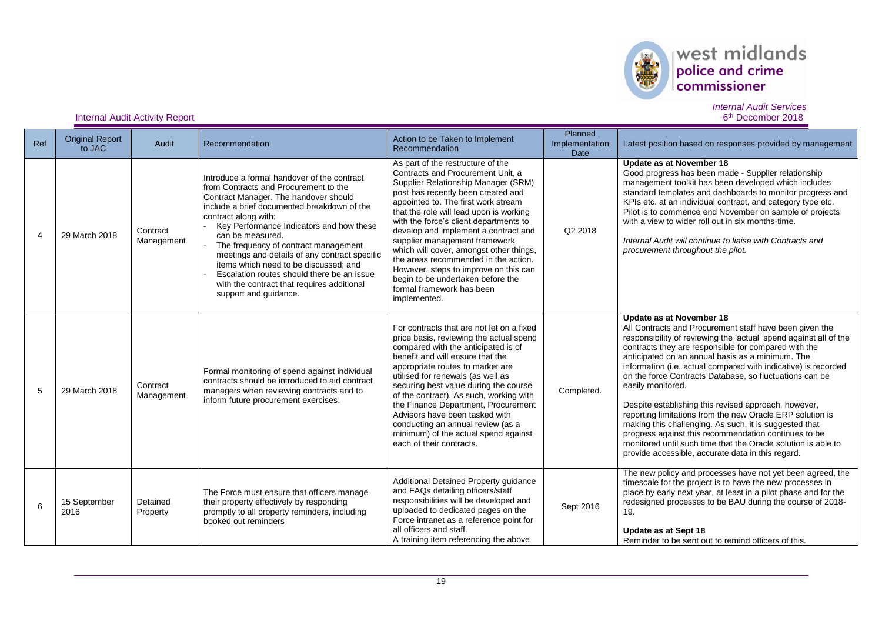

#### *Internal Audit Services* 6<sup>th</sup> December 2018

| Ref            | <b>Original Report</b><br>to JAC | Audit                  | Recommendation                                                                                                                                                                                                                                                                                                                                                                                                                                                                                                              | Action to be Taken to Implement<br>Recommendation                                                                                                                                                                                                                                                                                                                                                                                                                                                                                                                      | Planned<br>Implementation<br>Date | Latest position based on responses provided by management                                                                                                                                                                                                                                                                                                                                                                                                                                                                                                                                                                                                                                                                                                                           |
|----------------|----------------------------------|------------------------|-----------------------------------------------------------------------------------------------------------------------------------------------------------------------------------------------------------------------------------------------------------------------------------------------------------------------------------------------------------------------------------------------------------------------------------------------------------------------------------------------------------------------------|------------------------------------------------------------------------------------------------------------------------------------------------------------------------------------------------------------------------------------------------------------------------------------------------------------------------------------------------------------------------------------------------------------------------------------------------------------------------------------------------------------------------------------------------------------------------|-----------------------------------|-------------------------------------------------------------------------------------------------------------------------------------------------------------------------------------------------------------------------------------------------------------------------------------------------------------------------------------------------------------------------------------------------------------------------------------------------------------------------------------------------------------------------------------------------------------------------------------------------------------------------------------------------------------------------------------------------------------------------------------------------------------------------------------|
| $\overline{4}$ | 29 March 2018                    | Contract<br>Management | Introduce a formal handover of the contract<br>from Contracts and Procurement to the<br>Contract Manager. The handover should<br>include a brief documented breakdown of the<br>contract along with:<br>Key Performance Indicators and how these<br>can be measured.<br>The frequency of contract management<br>meetings and details of any contract specific<br>items which need to be discussed: and<br>Escalation routes should there be an issue<br>with the contract that requires additional<br>support and quidance. | As part of the restructure of the<br>Contracts and Procurement Unit. a<br>Supplier Relationship Manager (SRM)<br>post has recently been created and<br>appointed to. The first work stream<br>that the role will lead upon is working<br>with the force's client departments to<br>develop and implement a contract and<br>supplier management framework<br>which will cover, amongst other things,<br>the areas recommended in the action.<br>However, steps to improve on this can<br>begin to be undertaken before the<br>formal framework has been<br>implemented. | Q2 2018                           | Update as at November 18<br>Good progress has been made - Supplier relationship<br>management toolkit has been developed which includes<br>standard templates and dashboards to monitor progress and<br>KPIs etc. at an individual contract, and category type etc.<br>Pilot is to commence end November on sample of projects<br>with a view to wider roll out in six months-time.<br>Internal Audit will continue to liaise with Contracts and<br>procurement throughout the pilot.                                                                                                                                                                                                                                                                                               |
| 5              | 29 March 2018                    | Contract<br>Management | Formal monitoring of spend against individual<br>contracts should be introduced to aid contract<br>managers when reviewing contracts and to<br>inform future procurement exercises.                                                                                                                                                                                                                                                                                                                                         | For contracts that are not let on a fixed<br>price basis, reviewing the actual spend<br>compared with the anticipated is of<br>benefit and will ensure that the<br>appropriate routes to market are<br>utilised for renewals (as well as<br>securing best value during the course<br>of the contract). As such, working with<br>the Finance Department, Procurement<br>Advisors have been tasked with<br>conducting an annual review (as a<br>minimum) of the actual spend against<br>each of their contracts.                                                         | Completed.                        | Update as at November 18<br>All Contracts and Procurement staff have been given the<br>responsibility of reviewing the 'actual' spend against all of the<br>contracts they are responsible for compared with the<br>anticipated on an annual basis as a minimum. The<br>information (i.e. actual compared with indicative) is recorded<br>on the force Contracts Database, so fluctuations can be<br>easily monitored.<br>Despite establishing this revised approach, however,<br>reporting limitations from the new Oracle ERP solution is<br>making this challenging. As such, it is suggested that<br>progress against this recommendation continues to be<br>monitored until such time that the Oracle solution is able to<br>provide accessible, accurate data in this regard. |
| 6              | 15 September<br>2016             | Detained<br>Property   | The Force must ensure that officers manage<br>their property effectively by responding<br>promptly to all property reminders, including<br>booked out reminders                                                                                                                                                                                                                                                                                                                                                             | Additional Detained Property guidance<br>and FAQs detailing officers/staff<br>responsibilities will be developed and<br>uploaded to dedicated pages on the<br>Force intranet as a reference point for<br>all officers and staff.<br>A training item referencing the above                                                                                                                                                                                                                                                                                              | Sept 2016                         | The new policy and processes have not yet been agreed, the<br>timescale for the project is to have the new processes in<br>place by early next year, at least in a pilot phase and for the<br>redesigned processes to be BAU during the course of 2018-<br>19.<br>Update as at Sept 18<br>Reminder to be sent out to remind officers of this.                                                                                                                                                                                                                                                                                                                                                                                                                                       |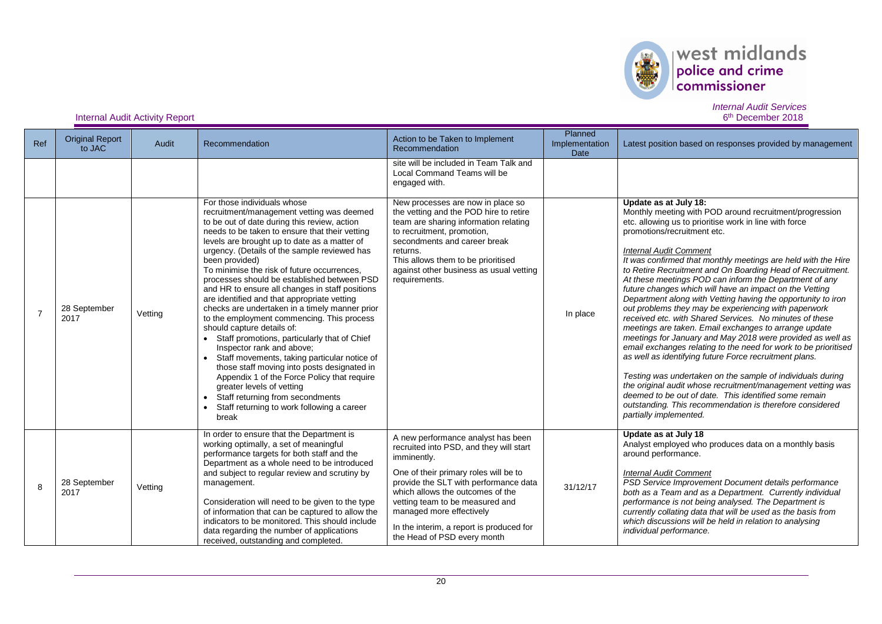

### Internal Audit Activity Report

*Internal Audit Services* 6<sup>th</sup> December 2018

| Ref            | <b>Original Report</b><br>to JAC | Audit   | Recommendation                                                                                                                                                                                                                                                                                                                                                                                                                                                                                                                                                                                                                                                                                                                                                                                                                                                                                                                                                                  | Action to be Taken to Implement<br>Recommendation                                                                                                                                                                                                                                                                                                            | Planned<br>Implementation<br>Date | Latest position based on responses provided by management                                                                                                                                                                                                                                                                                                                                                                                                                                                                                                                                                                                                                                                                                                                                                                                                                                                                                                                                                                                                                                                                                                                         |
|----------------|----------------------------------|---------|---------------------------------------------------------------------------------------------------------------------------------------------------------------------------------------------------------------------------------------------------------------------------------------------------------------------------------------------------------------------------------------------------------------------------------------------------------------------------------------------------------------------------------------------------------------------------------------------------------------------------------------------------------------------------------------------------------------------------------------------------------------------------------------------------------------------------------------------------------------------------------------------------------------------------------------------------------------------------------|--------------------------------------------------------------------------------------------------------------------------------------------------------------------------------------------------------------------------------------------------------------------------------------------------------------------------------------------------------------|-----------------------------------|-----------------------------------------------------------------------------------------------------------------------------------------------------------------------------------------------------------------------------------------------------------------------------------------------------------------------------------------------------------------------------------------------------------------------------------------------------------------------------------------------------------------------------------------------------------------------------------------------------------------------------------------------------------------------------------------------------------------------------------------------------------------------------------------------------------------------------------------------------------------------------------------------------------------------------------------------------------------------------------------------------------------------------------------------------------------------------------------------------------------------------------------------------------------------------------|
|                |                                  |         |                                                                                                                                                                                                                                                                                                                                                                                                                                                                                                                                                                                                                                                                                                                                                                                                                                                                                                                                                                                 | site will be included in Team Talk and<br>Local Command Teams will be<br>engaged with.                                                                                                                                                                                                                                                                       |                                   |                                                                                                                                                                                                                                                                                                                                                                                                                                                                                                                                                                                                                                                                                                                                                                                                                                                                                                                                                                                                                                                                                                                                                                                   |
| $\overline{7}$ | 28 September<br>2017             | Vetting | For those individuals whose<br>recruitment/management vetting was deemed<br>to be out of date during this review, action<br>needs to be taken to ensure that their vetting<br>levels are brought up to date as a matter of<br>urgency. (Details of the sample reviewed has<br>been provided)<br>To minimise the risk of future occurrences,<br>processes should be established between PSD<br>and HR to ensure all changes in staff positions<br>are identified and that appropriate vetting<br>checks are undertaken in a timely manner prior<br>to the employment commencing. This process<br>should capture details of:<br>• Staff promotions, particularly that of Chief<br>Inspector rank and above;<br>Staff movements, taking particular notice of<br>those staff moving into posts designated in<br>Appendix 1 of the Force Policy that require<br>greater levels of vetting<br>Staff returning from secondments<br>Staff returning to work following a career<br>break | New processes are now in place so<br>the vetting and the POD hire to retire<br>team are sharing information relating<br>to recruitment, promotion,<br>secondments and career break<br>returns.<br>This allows them to be prioritised<br>against other business as usual vetting<br>requirements.                                                             | In place                          | Update as at July 18:<br>Monthly meeting with POD around recruitment/progression<br>etc. allowing us to prioritise work in line with force<br>promotions/recruitment etc.<br><b>Internal Audit Comment</b><br>It was confirmed that monthly meetings are held with the Hire<br>to Retire Recruitment and On Boarding Head of Recruitment.<br>At these meetings POD can inform the Department of any<br>future changes which will have an impact on the Vetting<br>Department along with Vetting having the opportunity to iron<br>out problems they may be experiencing with paperwork<br>received etc. with Shared Services. No minutes of these<br>meetings are taken. Email exchanges to arrange update<br>meetings for January and May 2018 were provided as well as<br>email exchanges relating to the need for work to be prioritised<br>as well as identifying future Force recruitment plans.<br>Testing was undertaken on the sample of individuals during<br>the original audit whose recruitment/management vetting was<br>deemed to be out of date. This identified some remain<br>outstanding. This recommendation is therefore considered<br>partially implemented. |
| 8              | 28 September<br>2017             | Vetting | In order to ensure that the Department is<br>working optimally, a set of meaningful<br>performance targets for both staff and the<br>Department as a whole need to be introduced<br>and subject to regular review and scrutiny by<br>management.<br>Consideration will need to be given to the type<br>of information that can be captured to allow the<br>indicators to be monitored. This should include<br>data regarding the number of applications<br>received, outstanding and completed.                                                                                                                                                                                                                                                                                                                                                                                                                                                                                 | A new performance analyst has been<br>recruited into PSD, and they will start<br>imminently.<br>One of their primary roles will be to<br>provide the SLT with performance data<br>which allows the outcomes of the<br>vetting team to be measured and<br>managed more effectively<br>In the interim, a report is produced for<br>the Head of PSD every month | 31/12/17                          | Update as at July 18<br>Analyst employed who produces data on a monthly basis<br>around performance.<br><b>Internal Audit Comment</b><br>PSD Service Improvement Document details performance<br>both as a Team and as a Department. Currently individual<br>performance is not being analysed. The Department is<br>currently collating data that will be used as the basis from<br>which discussions will be held in relation to analysing<br>individual performance.                                                                                                                                                                                                                                                                                                                                                                                                                                                                                                                                                                                                                                                                                                           |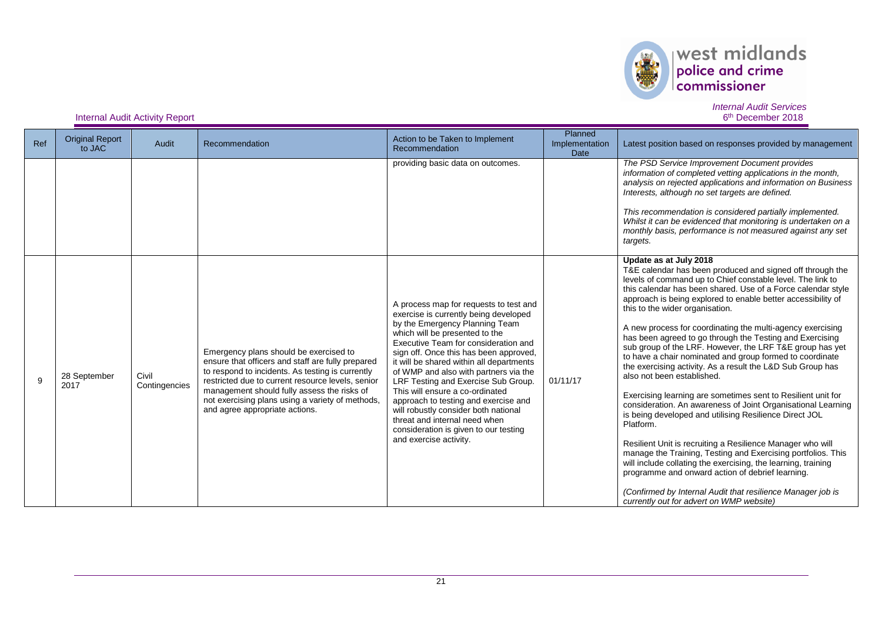

#### *Internal Audit Services* 6<sup>th</sup> December 2018

| Ref | <b>Original Report</b><br>to JAC | Audit                  | Recommendation                                                                                                                                                                                                                                                                                                                            | Action to be Taken to Implement<br>Recommendation                                                                                                                                                                                                                                                                                                                                                                                                                                                                                                                                        | Planned<br>Implementation<br>Date | Latest position based on responses provided by management                                                                                                                                                                                                                                                                                                                                                                                                                                                                                                                                                                                                                                                                                                                                                                                                                                                                                                                                                                                                                                                                                                                                                                               |
|-----|----------------------------------|------------------------|-------------------------------------------------------------------------------------------------------------------------------------------------------------------------------------------------------------------------------------------------------------------------------------------------------------------------------------------|------------------------------------------------------------------------------------------------------------------------------------------------------------------------------------------------------------------------------------------------------------------------------------------------------------------------------------------------------------------------------------------------------------------------------------------------------------------------------------------------------------------------------------------------------------------------------------------|-----------------------------------|-----------------------------------------------------------------------------------------------------------------------------------------------------------------------------------------------------------------------------------------------------------------------------------------------------------------------------------------------------------------------------------------------------------------------------------------------------------------------------------------------------------------------------------------------------------------------------------------------------------------------------------------------------------------------------------------------------------------------------------------------------------------------------------------------------------------------------------------------------------------------------------------------------------------------------------------------------------------------------------------------------------------------------------------------------------------------------------------------------------------------------------------------------------------------------------------------------------------------------------------|
|     |                                  |                        |                                                                                                                                                                                                                                                                                                                                           | providing basic data on outcomes.                                                                                                                                                                                                                                                                                                                                                                                                                                                                                                                                                        |                                   | The PSD Service Improvement Document provides<br>information of completed vetting applications in the month,<br>analysis on rejected applications and information on Business<br>Interests, although no set targets are defined.<br>This recommendation is considered partially implemented.<br>Whilst it can be evidenced that monitoring is undertaken on a<br>monthly basis, performance is not measured against any set<br>targets.                                                                                                                                                                                                                                                                                                                                                                                                                                                                                                                                                                                                                                                                                                                                                                                                 |
| 9   | 28 September<br>2017             | Civil<br>Contingencies | Emergency plans should be exercised to<br>ensure that officers and staff are fully prepared<br>to respond to incidents. As testing is currently<br>restricted due to current resource levels, senior<br>management should fully assess the risks of<br>not exercising plans using a variety of methods,<br>and agree appropriate actions. | A process map for requests to test and<br>exercise is currently being developed<br>by the Emergency Planning Team<br>which will be presented to the<br>Executive Team for consideration and<br>sign off. Once this has been approved,<br>it will be shared within all departments<br>of WMP and also with partners via the<br>LRF Testing and Exercise Sub Group.<br>This will ensure a co-ordinated<br>approach to testing and exercise and<br>will robustly consider both national<br>threat and internal need when<br>consideration is given to our testing<br>and exercise activity. | 01/11/17                          | Update as at July 2018<br>T&E calendar has been produced and signed off through the<br>levels of command up to Chief constable level. The link to<br>this calendar has been shared. Use of a Force calendar style<br>approach is being explored to enable better accessibility of<br>this to the wider organisation.<br>A new process for coordinating the multi-agency exercising<br>has been agreed to go through the Testing and Exercising<br>sub group of the LRF. However, the LRF T&E group has yet<br>to have a chair nominated and group formed to coordinate<br>the exercising activity. As a result the L&D Sub Group has<br>also not been established.<br>Exercising learning are sometimes sent to Resilient unit for<br>consideration. An awareness of Joint Organisational Learning<br>is being developed and utilising Resilience Direct JOL<br>Platform.<br>Resilient Unit is recruiting a Resilience Manager who will<br>manage the Training, Testing and Exercising portfolios. This<br>will include collating the exercising, the learning, training<br>programme and onward action of debrief learning.<br>(Confirmed by Internal Audit that resilience Manager job is<br>currently out for advert on WMP website) |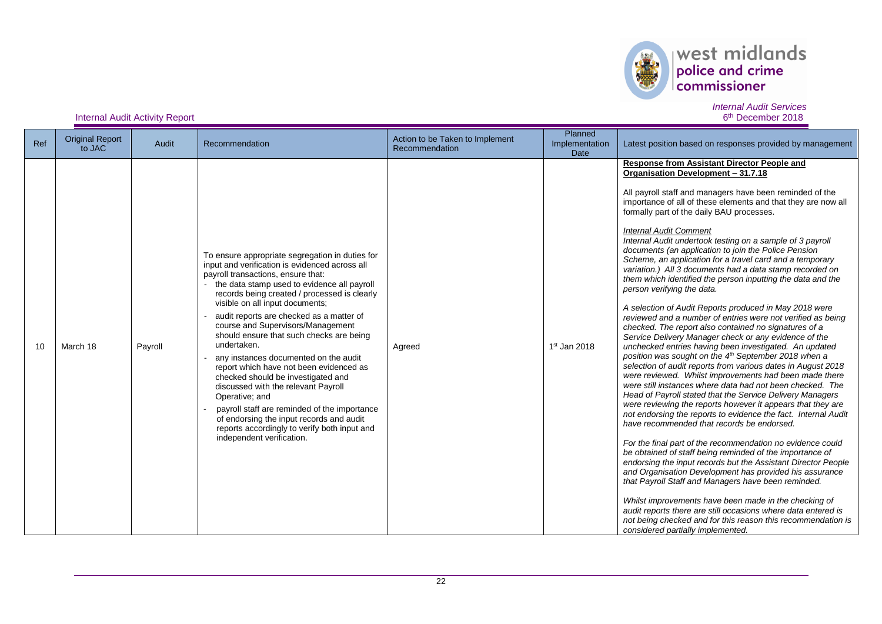

#### *Internal Audit Services* 6<sup>th</sup> December 2018

| Ref | <b>Original Report</b><br>to JAC | Audit   | Recommendation                                                                                                                                                                                                                                                                                                                                                                                                                                                                                                                                                                                                                                                                                                                                                                    | Action to be Taken to Implement<br>Recommendation | Planned<br>Implementation<br>Date | Latest position based on responses provided by management                                                                                                                                                                                                                                                                                                                                                                                                                                                                                                                                                                                                                                                                                                                                                                                                                                                                                                                                                                                                                                                                                                                                                                                                                                                                                                                                                                                                                                                                                                                                                                                                                                                                                                                                                                                                                                                                                                                                             |
|-----|----------------------------------|---------|-----------------------------------------------------------------------------------------------------------------------------------------------------------------------------------------------------------------------------------------------------------------------------------------------------------------------------------------------------------------------------------------------------------------------------------------------------------------------------------------------------------------------------------------------------------------------------------------------------------------------------------------------------------------------------------------------------------------------------------------------------------------------------------|---------------------------------------------------|-----------------------------------|-------------------------------------------------------------------------------------------------------------------------------------------------------------------------------------------------------------------------------------------------------------------------------------------------------------------------------------------------------------------------------------------------------------------------------------------------------------------------------------------------------------------------------------------------------------------------------------------------------------------------------------------------------------------------------------------------------------------------------------------------------------------------------------------------------------------------------------------------------------------------------------------------------------------------------------------------------------------------------------------------------------------------------------------------------------------------------------------------------------------------------------------------------------------------------------------------------------------------------------------------------------------------------------------------------------------------------------------------------------------------------------------------------------------------------------------------------------------------------------------------------------------------------------------------------------------------------------------------------------------------------------------------------------------------------------------------------------------------------------------------------------------------------------------------------------------------------------------------------------------------------------------------------------------------------------------------------------------------------------------------------|
| 10  | March 18                         | Payroll | To ensure appropriate segregation in duties for<br>input and verification is evidenced across all<br>payroll transactions, ensure that:<br>the data stamp used to evidence all payroll<br>records being created / processed is clearly<br>visible on all input documents;<br>audit reports are checked as a matter of<br>course and Supervisors/Management<br>should ensure that such checks are being<br>undertaken.<br>any instances documented on the audit<br>report which have not been evidenced as<br>checked should be investigated and<br>discussed with the relevant Payroll<br>Operative; and<br>payroll staff are reminded of the importance<br>of endorsing the input records and audit<br>reports accordingly to verify both input and<br>independent verification. | Agreed                                            | 1st Jan 2018                      | <b>Response from Assistant Director People and</b><br>Organisation Development - 31.7.18<br>All payroll staff and managers have been reminded of the<br>importance of all of these elements and that they are now all<br>formally part of the daily BAU processes.<br><b>Internal Audit Comment</b><br>Internal Audit undertook testing on a sample of 3 payroll<br>documents (an application to join the Police Pension<br>Scheme, an application for a travel card and a temporary<br>variation.) All 3 documents had a data stamp recorded on<br>them which identified the person inputting the data and the<br>person verifying the data.<br>A selection of Audit Reports produced in May 2018 were<br>reviewed and a number of entries were not verified as being<br>checked. The report also contained no signatures of a<br>Service Delivery Manager check or any evidence of the<br>unchecked entries having been investigated. An updated<br>position was sought on the 4 <sup>th</sup> September 2018 when a<br>selection of audit reports from various dates in August 2018<br>were reviewed. Whilst improvements had been made there<br>were still instances where data had not been checked. The<br>Head of Payroll stated that the Service Delivery Managers<br>were reviewing the reports however it appears that they are<br>not endorsing the reports to evidence the fact. Internal Audit<br>have recommended that records be endorsed.<br>For the final part of the recommendation no evidence could<br>be obtained of staff being reminded of the importance of<br>endorsing the input records but the Assistant Director People<br>and Organisation Development has provided his assurance<br>that Payroll Staff and Managers have been reminded.<br>Whilst improvements have been made in the checking of<br>audit reports there are still occasions where data entered is<br>not being checked and for this reason this recommendation is<br>considered partially implemented. |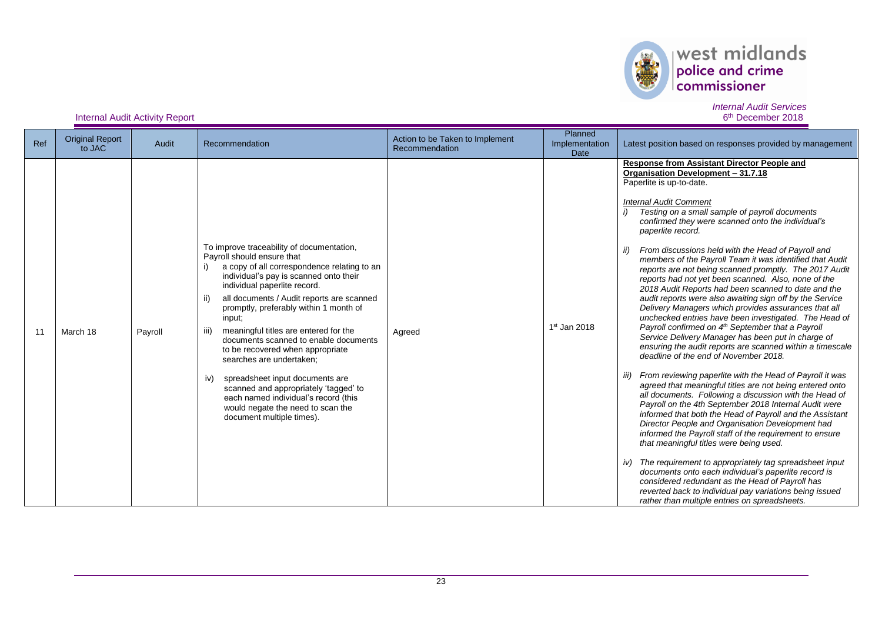

#### *Internal Audit Services* 6<sup>th</sup> December 2018

| Ref | <b>Original Report</b><br>to JAC | Audit   | Recommendation                                                                                                                                                                                                                                                                                                                                                                                                                                                                                                                                                                                                                                                  | Action to be Taken to Implement<br>Recommendation | Planned<br>Implementation<br><b>Date</b> | Latest position based on responses provided by management                                                                                                                                                                                                                                                                                                                                                                                                                                                                                                                                                                                                                                                                                                                                                                                                                                                                                                                                                                                                                                                                                                                                                                                                                                                                                                                                                                                                                                                                                                                                                                                                                                                                                          |
|-----|----------------------------------|---------|-----------------------------------------------------------------------------------------------------------------------------------------------------------------------------------------------------------------------------------------------------------------------------------------------------------------------------------------------------------------------------------------------------------------------------------------------------------------------------------------------------------------------------------------------------------------------------------------------------------------------------------------------------------------|---------------------------------------------------|------------------------------------------|----------------------------------------------------------------------------------------------------------------------------------------------------------------------------------------------------------------------------------------------------------------------------------------------------------------------------------------------------------------------------------------------------------------------------------------------------------------------------------------------------------------------------------------------------------------------------------------------------------------------------------------------------------------------------------------------------------------------------------------------------------------------------------------------------------------------------------------------------------------------------------------------------------------------------------------------------------------------------------------------------------------------------------------------------------------------------------------------------------------------------------------------------------------------------------------------------------------------------------------------------------------------------------------------------------------------------------------------------------------------------------------------------------------------------------------------------------------------------------------------------------------------------------------------------------------------------------------------------------------------------------------------------------------------------------------------------------------------------------------------------|
| 11  | March 18                         | Payroll | To improve traceability of documentation,<br>Payroll should ensure that<br>a copy of all correspondence relating to an<br>individual's pay is scanned onto their<br>individual paperlite record.<br>all documents / Audit reports are scanned<br>ii)<br>promptly, preferably within 1 month of<br>input;<br>meaningful titles are entered for the<br>iii)<br>documents scanned to enable documents<br>to be recovered when appropriate<br>searches are undertaken;<br>spreadsheet input documents are<br>iv)<br>scanned and appropriately 'tagged' to<br>each named individual's record (this<br>would negate the need to scan the<br>document multiple times). | Agreed                                            | $1st$ Jan 2018                           | <b>Response from Assistant Director People and</b><br>Organisation Development - 31.7.18<br>Paperlite is up-to-date.<br><b>Internal Audit Comment</b><br>Testing on a small sample of payroll documents<br>confirmed they were scanned onto the individual's<br>paperlite record.<br>From discussions held with the Head of Payroll and<br>ii)<br>members of the Payroll Team it was identified that Audit<br>reports are not being scanned promptly. The 2017 Audit<br>reports had not yet been scanned. Also, none of the<br>2018 Audit Reports had been scanned to date and the<br>audit reports were also awaiting sign off by the Service<br>Delivery Managers which provides assurances that all<br>unchecked entries have been investigated. The Head of<br>Payroll confirmed on 4 <sup>th</sup> September that a Payroll<br>Service Delivery Manager has been put in charge of<br>ensuring the audit reports are scanned within a timescale<br>deadline of the end of November 2018.<br>From reviewing paperlite with the Head of Payroll it was<br>agreed that meaningful titles are not being entered onto<br>all documents. Following a discussion with the Head of<br>Payroll on the 4th September 2018 Internal Audit were<br>informed that both the Head of Payroll and the Assistant<br>Director People and Organisation Development had<br>informed the Payroll staff of the requirement to ensure<br>that meaningful titles were being used.<br>iv) The requirement to appropriately tag spreadsheet input<br>documents onto each individual's paperlite record is<br>considered redundant as the Head of Payroll has<br>reverted back to individual pay variations being issued<br>rather than multiple entries on spreadsheets. |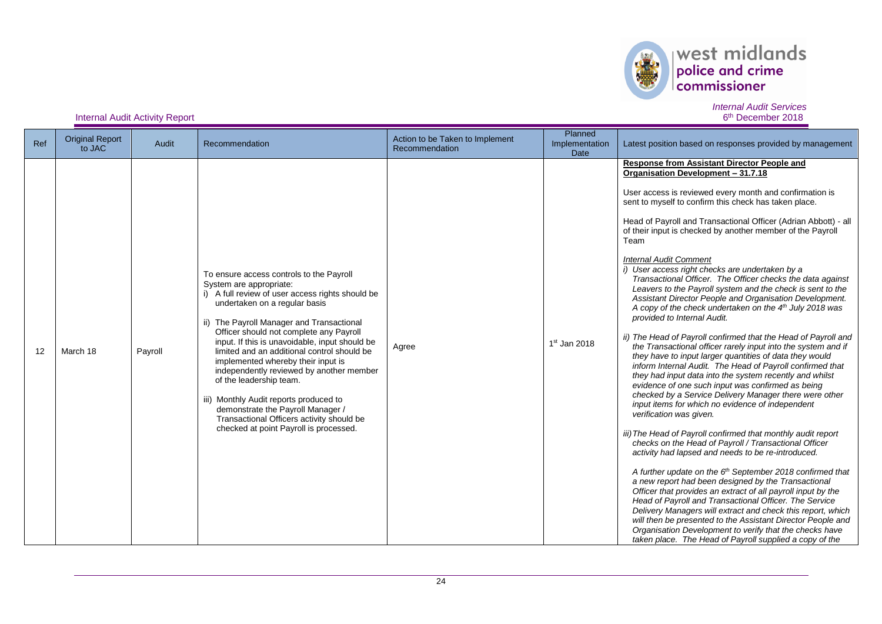

| Ref | <b>Original Report</b><br>to JAC | Audit   | Recommendation                                                                                                                                                                                                                                                                                                                                                                                                                                                                                                                                                                                                                       | Action to be Taken to Implement<br>Recommendation | Planned<br>Implementation<br>Date | Latest position based on responses provided by management                                                                                                                                                                                                                                                                                                                                                                                                                                                                                                                                                                                                                                                                                                                                                                                                                                                                                                                                                                                                                                                                                                                                                                                                                                                                                                                                                                                                                                                                                                                                                                                                                                                                                                                                                                                                                                                                              |
|-----|----------------------------------|---------|--------------------------------------------------------------------------------------------------------------------------------------------------------------------------------------------------------------------------------------------------------------------------------------------------------------------------------------------------------------------------------------------------------------------------------------------------------------------------------------------------------------------------------------------------------------------------------------------------------------------------------------|---------------------------------------------------|-----------------------------------|----------------------------------------------------------------------------------------------------------------------------------------------------------------------------------------------------------------------------------------------------------------------------------------------------------------------------------------------------------------------------------------------------------------------------------------------------------------------------------------------------------------------------------------------------------------------------------------------------------------------------------------------------------------------------------------------------------------------------------------------------------------------------------------------------------------------------------------------------------------------------------------------------------------------------------------------------------------------------------------------------------------------------------------------------------------------------------------------------------------------------------------------------------------------------------------------------------------------------------------------------------------------------------------------------------------------------------------------------------------------------------------------------------------------------------------------------------------------------------------------------------------------------------------------------------------------------------------------------------------------------------------------------------------------------------------------------------------------------------------------------------------------------------------------------------------------------------------------------------------------------------------------------------------------------------------|
| 12  | March 18                         | Payroll | To ensure access controls to the Payroll<br>System are appropriate:<br>i) A full review of user access rights should be<br>undertaken on a regular basis<br>ii) The Payroll Manager and Transactional<br>Officer should not complete any Payroll<br>input. If this is unavoidable, input should be<br>limited and an additional control should be<br>implemented whereby their input is<br>independently reviewed by another member<br>of the leadership team.<br>iii) Monthly Audit reports produced to<br>demonstrate the Payroll Manager /<br>Transactional Officers activity should be<br>checked at point Payroll is processed. | Agree                                             | $1st$ Jan 2018                    | Response from Assistant Director People and<br>Organisation Development - 31.7.18<br>User access is reviewed every month and confirmation is<br>sent to myself to confirm this check has taken place.<br>Head of Payroll and Transactional Officer (Adrian Abbott) - all<br>of their input is checked by another member of the Payroll<br>Team<br><b>Internal Audit Comment</b><br>i) User access right checks are undertaken by a<br>Transactional Officer. The Officer checks the data against<br>Leavers to the Payroll system and the check is sent to the<br>Assistant Director People and Organisation Development.<br>A copy of the check undertaken on the $4th$ July 2018 was<br>provided to Internal Audit.<br>ii) The Head of Payroll confirmed that the Head of Payroll and<br>the Transactional officer rarely input into the system and if<br>they have to input larger quantities of data they would<br>inform Internal Audit. The Head of Payroll confirmed that<br>they had input data into the system recently and whilst<br>evidence of one such input was confirmed as being<br>checked by a Service Delivery Manager there were other<br>input items for which no evidence of independent<br>verification was given.<br>iii) The Head of Payroll confirmed that monthly audit report<br>checks on the Head of Payroll / Transactional Officer<br>activity had lapsed and needs to be re-introduced.<br>A further update on the 6 <sup>th</sup> September 2018 confirmed that<br>a new report had been designed by the Transactional<br>Officer that provides an extract of all payroll input by the<br>Head of Payroll and Transactional Officer. The Service<br>Delivery Managers will extract and check this report, which<br>will then be presented to the Assistant Director People and<br>Organisation Development to verify that the checks have<br>taken place. The Head of Payroll supplied a copy of the |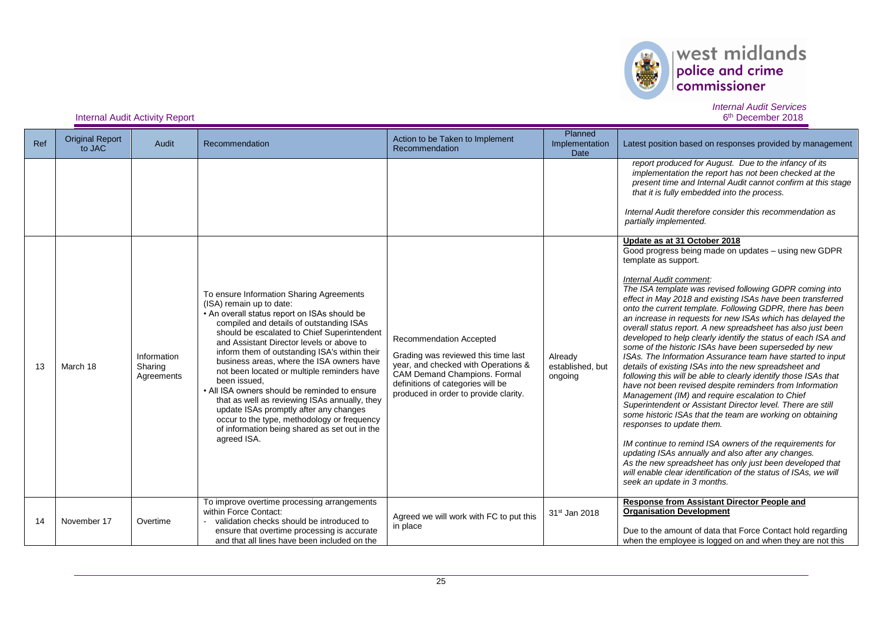

#### *Internal Audit Services* 6<sup>th</sup> December 2018

| Ref | <b>Original Report</b><br>to JAC | Audit                                | Recommendation                                                                                                                                                                                                                                                                                                                                                                                                                                                                                                                                                                                                                                                                       | Action to be Taken to Implement<br>Recommendation                                                                                                                                                                   | Planned<br>Implementation<br><b>Date</b> | Latest position based on responses provided by management                                                                                                                                                                                                                                                                                                                                                                                                                                                                                                                                                                                                                                                                                                                                                                                                                                                                                                                                                                                                                                                                                                                                                                                                                                                                              |
|-----|----------------------------------|--------------------------------------|--------------------------------------------------------------------------------------------------------------------------------------------------------------------------------------------------------------------------------------------------------------------------------------------------------------------------------------------------------------------------------------------------------------------------------------------------------------------------------------------------------------------------------------------------------------------------------------------------------------------------------------------------------------------------------------|---------------------------------------------------------------------------------------------------------------------------------------------------------------------------------------------------------------------|------------------------------------------|----------------------------------------------------------------------------------------------------------------------------------------------------------------------------------------------------------------------------------------------------------------------------------------------------------------------------------------------------------------------------------------------------------------------------------------------------------------------------------------------------------------------------------------------------------------------------------------------------------------------------------------------------------------------------------------------------------------------------------------------------------------------------------------------------------------------------------------------------------------------------------------------------------------------------------------------------------------------------------------------------------------------------------------------------------------------------------------------------------------------------------------------------------------------------------------------------------------------------------------------------------------------------------------------------------------------------------------|
|     |                                  |                                      |                                                                                                                                                                                                                                                                                                                                                                                                                                                                                                                                                                                                                                                                                      |                                                                                                                                                                                                                     |                                          | report produced for August. Due to the infancy of its<br>implementation the report has not been checked at the<br>present time and Internal Audit cannot confirm at this stage<br>that it is fully embedded into the process.                                                                                                                                                                                                                                                                                                                                                                                                                                                                                                                                                                                                                                                                                                                                                                                                                                                                                                                                                                                                                                                                                                          |
|     |                                  |                                      |                                                                                                                                                                                                                                                                                                                                                                                                                                                                                                                                                                                                                                                                                      |                                                                                                                                                                                                                     |                                          | Internal Audit therefore consider this recommendation as<br>partially implemented.                                                                                                                                                                                                                                                                                                                                                                                                                                                                                                                                                                                                                                                                                                                                                                                                                                                                                                                                                                                                                                                                                                                                                                                                                                                     |
| 13  | March 18                         | Information<br>Sharing<br>Agreements | To ensure Information Sharing Agreements<br>(ISA) remain up to date:<br>• An overall status report on ISAs should be<br>compiled and details of outstanding ISAs<br>should be escalated to Chief Superintendent<br>and Assistant Director levels or above to<br>inform them of outstanding ISA's within their<br>business areas, where the ISA owners have<br>not been located or multiple reminders have<br>been issued.<br>• All ISA owners should be reminded to ensure<br>that as well as reviewing ISAs annually, they<br>update ISAs promptly after any changes<br>occur to the type, methodology or frequency<br>of information being shared as set out in the<br>agreed ISA. | Recommendation Accepted<br>Grading was reviewed this time last<br>year, and checked with Operations &<br>CAM Demand Champions. Formal<br>definitions of categories will be<br>produced in order to provide clarity. | Already<br>established, but<br>ongoing   | Update as at 31 October 2018<br>Good progress being made on updates - using new GDPR<br>template as support.<br>Internal Audit comment:<br>The ISA template was revised following GDPR coming into<br>effect in May 2018 and existing ISAs have been transferred<br>onto the current template. Following GDPR, there has been<br>an increase in requests for new ISAs which has delayed the<br>overall status report. A new spreadsheet has also just been<br>developed to help clearly identify the status of each ISA and<br>some of the historic ISAs have been superseded by new<br>ISAs. The Information Assurance team have started to input<br>details of existing ISAs into the new spreadsheet and<br>following this will be able to clearly identify those ISAs that<br>have not been revised despite reminders from Information<br>Management (IM) and require escalation to Chief<br>Superintendent or Assistant Director level. There are still<br>some historic ISAs that the team are working on obtaining<br>responses to update them.<br>IM continue to remind ISA owners of the requirements for<br>updating ISAs annually and also after any changes.<br>As the new spreadsheet has only just been developed that<br>will enable clear identification of the status of ISAs, we will<br>seek an update in 3 months. |
| 14  | November 17                      | Overtime                             | To improve overtime processing arrangements<br>within Force Contact:<br>validation checks should be introduced to<br>ensure that overtime processing is accurate                                                                                                                                                                                                                                                                                                                                                                                                                                                                                                                     | Agreed we will work with FC to put this<br>in place                                                                                                                                                                 | 31 <sup>st</sup> Jan 2018                | Response from Assistant Director People and<br><b>Organisation Development</b><br>Due to the amount of data that Force Contact hold regarding                                                                                                                                                                                                                                                                                                                                                                                                                                                                                                                                                                                                                                                                                                                                                                                                                                                                                                                                                                                                                                                                                                                                                                                          |
|     |                                  |                                      | and that all lines have been included on the                                                                                                                                                                                                                                                                                                                                                                                                                                                                                                                                                                                                                                         |                                                                                                                                                                                                                     |                                          | when the employee is logged on and when they are not this                                                                                                                                                                                                                                                                                                                                                                                                                                                                                                                                                                                                                                                                                                                                                                                                                                                                                                                                                                                                                                                                                                                                                                                                                                                                              |